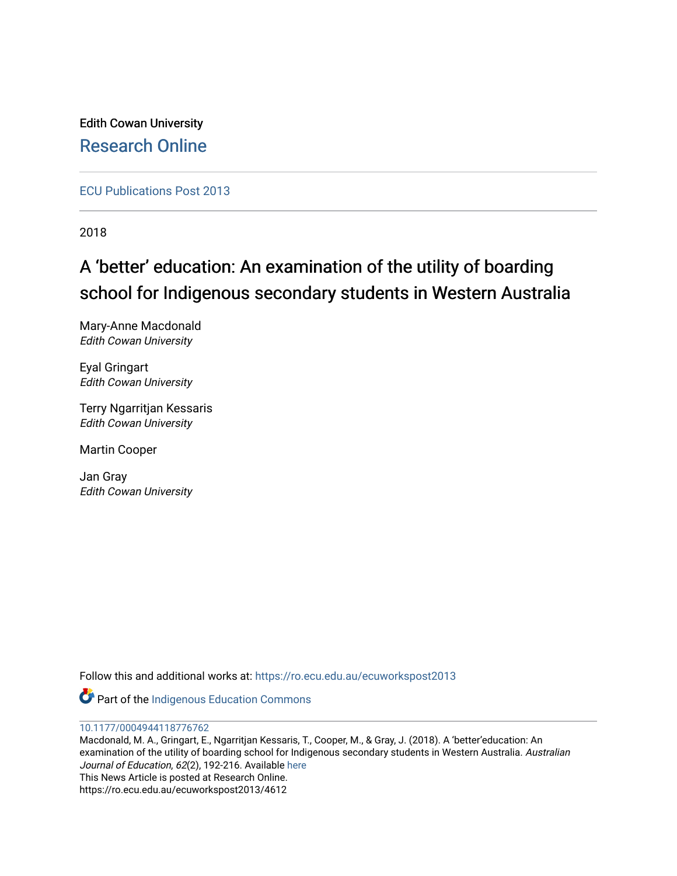Edith Cowan University [Research Online](https://ro.ecu.edu.au/) 

[ECU Publications Post 2013](https://ro.ecu.edu.au/ecuworkspost2013)

2018

# A 'better' education: An examination of the utility of boarding school for Indigenous secondary students in Western Australia

Mary-Anne Macdonald Edith Cowan University

Eyal Gringart Edith Cowan University

Terry Ngarritjan Kessaris Edith Cowan University

Martin Cooper

Jan Gray Edith Cowan University

Follow this and additional works at: [https://ro.ecu.edu.au/ecuworkspost2013](https://ro.ecu.edu.au/ecuworkspost2013?utm_source=ro.ecu.edu.au%2Fecuworkspost2013%2F4612&utm_medium=PDF&utm_campaign=PDFCoverPages) 

Part of the [Indigenous Education Commons](http://network.bepress.com/hgg/discipline/1379?utm_source=ro.ecu.edu.au%2Fecuworkspost2013%2F4612&utm_medium=PDF&utm_campaign=PDFCoverPages) 

[10.1177/0004944118776762](http://dx.doi.org/10.1177/0004944118776762)

Macdonald, M. A., Gringart, E., Ngarritjan Kessaris, T., Cooper, M., & Gray, J. (2018). A 'better'education: An examination of the utility of boarding school for Indigenous secondary students in Western Australia. Australian Journal of Education, 62(2), 192-216. Available [here](https://doi.org/10.1177/0004944118776762) This News Article is posted at Research Online. https://ro.ecu.edu.au/ecuworkspost2013/4612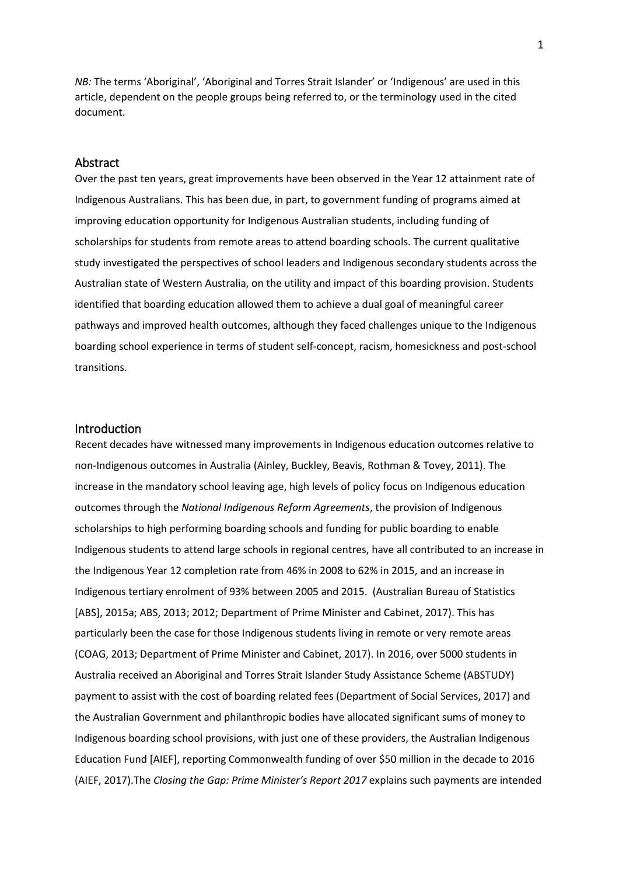*NB:* The terms 'Aboriginal', 'Aboriginal and Torres Strait Islander' or 'Indigenous' are used in this article, dependent on the people groups being referred to, or the terminology used in the cited document.

## Abstract

Over the past ten years, great improvements have been observed in the Year 12 attainment rate of Indigenous Australians. This has been due, in part, to government funding of programs aimed at improving education opportunity for Indigenous Australian students, including funding of scholarships for students from remote areas to attend boarding schools. The current qualitative study investigated the perspectives of school leaders and Indigenous secondary students across the Australian state of Western Australia, on the utility and impact of this boarding provision. Students identified that boarding education allowed them to achieve a dual goal of meaningful career pathways and improved health outcomes, although they faced challenges unique to the Indigenous boarding school experience in terms of student self-concept, racism, homesickness and post-school transitions.

# **Introduction**

Recent decades have witnessed many improvements in Indigenous education outcomes relative to non-Indigenous outcomes in Australia (Ainley, Buckley, Beavis, Rothman & Tovey, 2011). The increase in the mandatory school leaving age, high levels of policy focus on Indigenous education outcomes through the *National Indigenous Reform Agreements*, the provision of Indigenous scholarships to high performing boarding schools and funding for public boarding to enable Indigenous students to attend large schools in regional centres, have all contributed to an increase in the Indigenous Year 12 completion rate from 46% in 2008 to 62% in 2015, and an increase in Indigenous tertiary enrolment of 93% between 2005 and 2015. (Australian Bureau of Statistics [ABS], 2015a; ABS, 2013; 2012; Department of Prime Minister and Cabinet, 2017). This has particularly been the case for those Indigenous students living in remote or very remote areas (COAG, 2013; Department of Prime Minister and Cabinet, 2017). In 2016, over 5000 students in Australia received an Aboriginal and Torres Strait Islander Study Assistance Scheme (ABSTUDY) payment to assist with the cost of boarding related fees (Department of Social Services, 2017) and the Australian Government and philanthropic bodies have allocated significant sums of money to Indigenous boarding school provisions, with just one of these providers, the Australian Indigenous Education Fund [AIEF], reporting Commonwealth funding of over \$50 million in the decade to 2016 (AIEF, 2017).The *Closing the Gap: Prime Minister's Report 2017* explains such payments are intended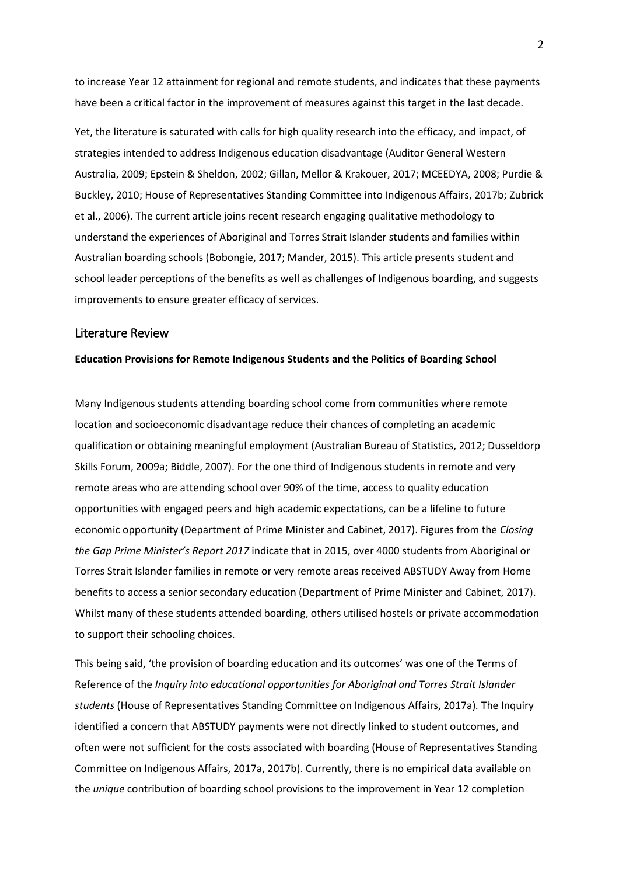to increase Year 12 attainment for regional and remote students, and indicates that these payments have been a critical factor in the improvement of measures against this target in the last decade.

Yet, the literature is saturated with calls for high quality research into the efficacy, and impact, of strategies intended to address Indigenous education disadvantage (Auditor General Western Australia, 2009; Epstein & Sheldon, 2002; Gillan, Mellor & Krakouer, 2017; MCEEDYA, 2008; Purdie & Buckley, 2010; House of Representatives Standing Committee into Indigenous Affairs, 2017b; Zubrick et al., 2006). The current article joins recent research engaging qualitative methodology to understand the experiences of Aboriginal and Torres Strait Islander students and families within Australian boarding schools (Bobongie, 2017; Mander, 2015). This article presents student and school leader perceptions of the benefits as well as challenges of Indigenous boarding, and suggests improvements to ensure greater efficacy of services.

# Literature Review

## **Education Provisions for Remote Indigenous Students and the Politics of Boarding School**

Many Indigenous students attending boarding school come from communities where remote location and socioeconomic disadvantage reduce their chances of completing an academic qualification or obtaining meaningful employment (Australian Bureau of Statistics, 2012; Dusseldorp Skills Forum, 2009a; Biddle, 2007). For the one third of Indigenous students in remote and very remote areas who are attending school over 90% of the time, access to quality education opportunities with engaged peers and high academic expectations, can be a lifeline to future economic opportunity (Department of Prime Minister and Cabinet, 2017). Figures from the *Closing the Gap Prime Minister's Report 2017* indicate that in 2015, over 4000 students from Aboriginal or Torres Strait Islander families in remote or very remote areas received ABSTUDY Away from Home benefits to access a senior secondary education (Department of Prime Minister and Cabinet, 2017). Whilst many of these students attended boarding, others utilised hostels or private accommodation to support their schooling choices.

This being said, 'the provision of boarding education and its outcomes' was one of the Terms of Reference of the *Inquiry into educational opportunities for Aboriginal and Torres Strait Islander students* (House of Representatives Standing Committee on Indigenous Affairs, 2017a)*.* The Inquiry identified a concern that ABSTUDY payments were not directly linked to student outcomes, and often were not sufficient for the costs associated with boarding (House of Representatives Standing Committee on Indigenous Affairs, 2017a, 2017b). Currently, there is no empirical data available on the *unique* contribution of boarding school provisions to the improvement in Year 12 completion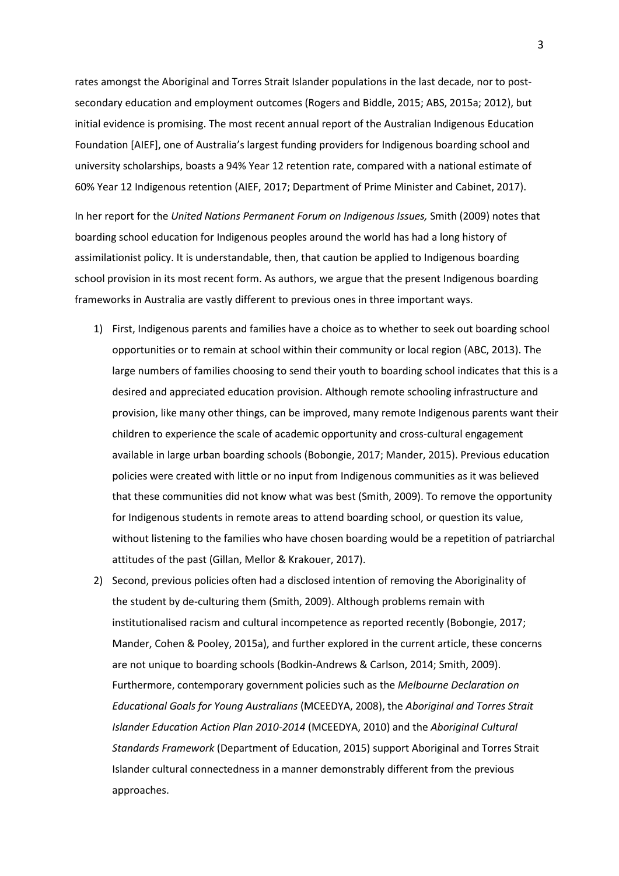rates amongst the Aboriginal and Torres Strait Islander populations in the last decade, nor to postsecondary education and employment outcomes (Rogers and Biddle, 2015; ABS, 2015a; 2012), but initial evidence is promising. The most recent annual report of the Australian Indigenous Education Foundation [AIEF], one of Australia's largest funding providers for Indigenous boarding school and university scholarships, boasts a 94% Year 12 retention rate, compared with a national estimate of 60% Year 12 Indigenous retention (AIEF, 2017; Department of Prime Minister and Cabinet, 2017).

In her report for the *United Nations Permanent Forum on Indigenous Issues,* Smith (2009) notes that boarding school education for Indigenous peoples around the world has had a long history of assimilationist policy. It is understandable, then, that caution be applied to Indigenous boarding school provision in its most recent form. As authors, we argue that the present Indigenous boarding frameworks in Australia are vastly different to previous ones in three important ways.

- 1) First, Indigenous parents and families have a choice as to whether to seek out boarding school opportunities or to remain at school within their community or local region (ABC, 2013). The large numbers of families choosing to send their youth to boarding school indicates that this is a desired and appreciated education provision. Although remote schooling infrastructure and provision, like many other things, can be improved, many remote Indigenous parents want their children to experience the scale of academic opportunity and cross-cultural engagement available in large urban boarding schools (Bobongie, 2017; Mander, 2015). Previous education policies were created with little or no input from Indigenous communities as it was believed that these communities did not know what was best (Smith, 2009). To remove the opportunity for Indigenous students in remote areas to attend boarding school, or question its value, without listening to the families who have chosen boarding would be a repetition of patriarchal attitudes of the past (Gillan, Mellor & Krakouer, 2017).
- 2) Second, previous policies often had a disclosed intention of removing the Aboriginality of the student by de-culturing them (Smith, 2009). Although problems remain with institutionalised racism and cultural incompetence as reported recently (Bobongie, 2017; Mander, Cohen & Pooley, 2015a), and further explored in the current article, these concerns are not unique to boarding schools (Bodkin-Andrews & Carlson, 2014; Smith, 2009). Furthermore, contemporary government policies such as the *Melbourne Declaration on Educational Goals for Young Australians* (MCEEDYA, 2008), the *Aboriginal and Torres Strait Islander Education Action Plan 2010-2014* (MCEEDYA, 2010) and the *Aboriginal Cultural Standards Framework* (Department of Education, 2015) support Aboriginal and Torres Strait Islander cultural connectedness in a manner demonstrably different from the previous approaches.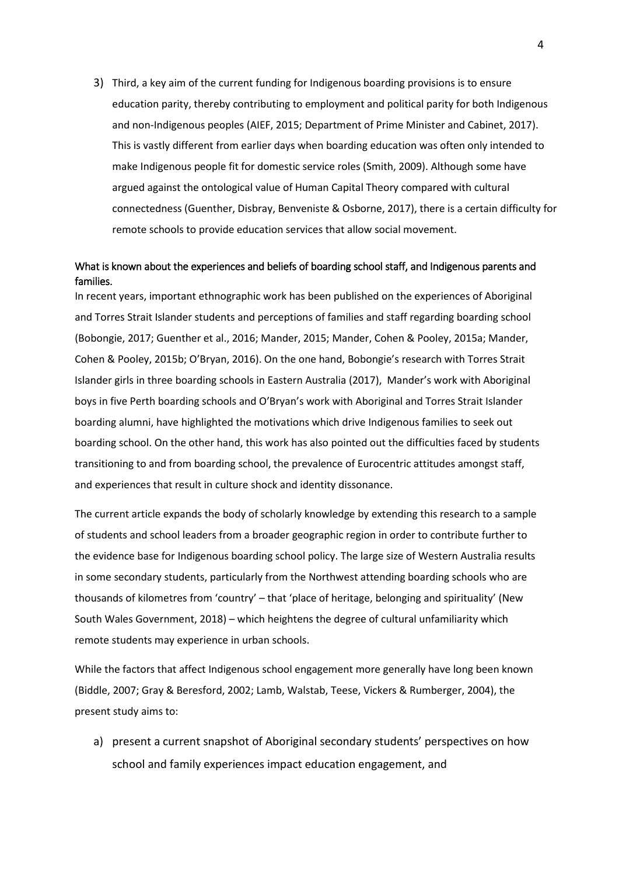3) Third, a key aim of the current funding for Indigenous boarding provisions is to ensure education parity, thereby contributing to employment and political parity for both Indigenous and non-Indigenous peoples (AIEF, 2015; Department of Prime Minister and Cabinet, 2017). This is vastly different from earlier days when boarding education was often only intended to make Indigenous people fit for domestic service roles (Smith, 2009). Although some have argued against the ontological value of Human Capital Theory compared with cultural connectedness (Guenther, Disbray, Benveniste & Osborne, 2017), there is a certain difficulty for remote schools to provide education services that allow social movement.

# What is known about the experiences and beliefs of boarding school staff, and Indigenous parents and families.

In recent years, important ethnographic work has been published on the experiences of Aboriginal and Torres Strait Islander students and perceptions of families and staff regarding boarding school (Bobongie, 2017; Guenther et al., 2016; Mander, 2015; Mander, Cohen & Pooley, 2015a; Mander, Cohen & Pooley, 2015b; O'Bryan, 2016). On the one hand, Bobongie's research with Torres Strait Islander girls in three boarding schools in Eastern Australia (2017), Mander's work with Aboriginal boys in five Perth boarding schools and O'Bryan's work with Aboriginal and Torres Strait Islander boarding alumni, have highlighted the motivations which drive Indigenous families to seek out boarding school. On the other hand, this work has also pointed out the difficulties faced by students transitioning to and from boarding school, the prevalence of Eurocentric attitudes amongst staff, and experiences that result in culture shock and identity dissonance.

The current article expands the body of scholarly knowledge by extending this research to a sample of students and school leaders from a broader geographic region in order to contribute further to the evidence base for Indigenous boarding school policy. The large size of Western Australia results in some secondary students, particularly from the Northwest attending boarding schools who are thousands of kilometres from 'country' – that 'place of heritage, belonging and spirituality' (New South Wales Government, 2018) – which heightens the degree of cultural unfamiliarity which remote students may experience in urban schools.

While the factors that affect Indigenous school engagement more generally have long been known (Biddle, 2007; Gray & Beresford, 2002; Lamb, Walstab, Teese, Vickers & Rumberger, 2004), the present study aims to:

a) present a current snapshot of Aboriginal secondary students' perspectives on how school and family experiences impact education engagement, and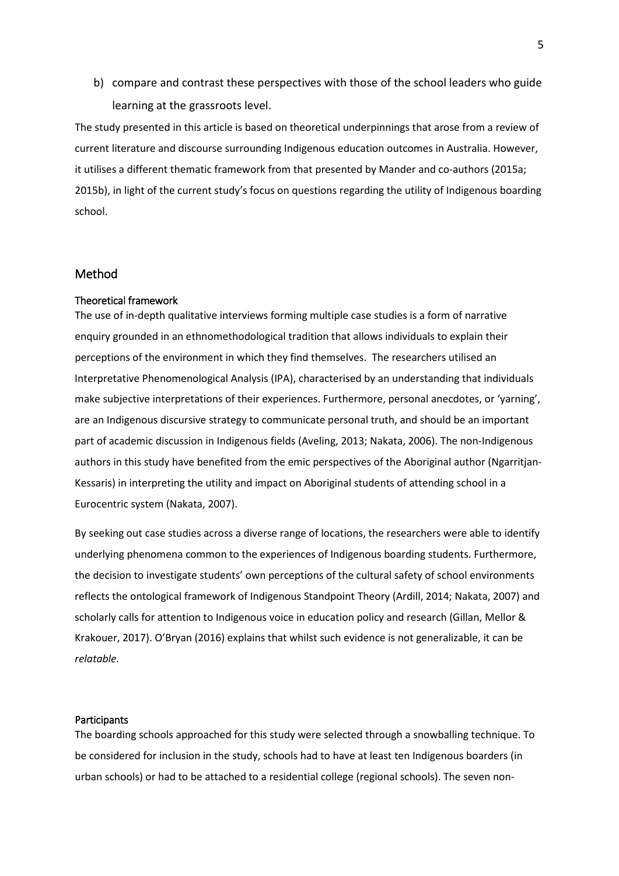b) compare and contrast these perspectives with those of the school leaders who guide learning at the grassroots level.

The study presented in this article is based on theoretical underpinnings that arose from a review of current literature and discourse surrounding Indigenous education outcomes in Australia. However, it utilises a different thematic framework from that presented by Mander and co-authors (2015a; 2015b), in light of the current study's focus on questions regarding the utility of Indigenous boarding school.

# Method

## Theoretical framework

The use of in-depth qualitative interviews forming multiple case studies is a form of narrative enquiry grounded in an ethnomethodological tradition that allows individuals to explain their perceptions of the environment in which they find themselves. The researchers utilised an Interpretative Phenomenological Analysis (IPA), characterised by an understanding that individuals make subjective interpretations of their experiences. Furthermore, personal anecdotes, or 'yarning', are an Indigenous discursive strategy to communicate personal truth, and should be an important part of academic discussion in Indigenous fields (Aveling, 2013; Nakata, 2006). The non-Indigenous authors in this study have benefited from the emic perspectives of the Aboriginal author (Ngarritjan-Kessaris) in interpreting the utility and impact on Aboriginal students of attending school in a Eurocentric system (Nakata, 2007).

By seeking out case studies across a diverse range of locations, the researchers were able to identify underlying phenomena common to the experiences of Indigenous boarding students. Furthermore, the decision to investigate students' own perceptions of the cultural safety of school environments reflects the ontological framework of Indigenous Standpoint Theory (Ardill, 2014; Nakata, 2007) and scholarly calls for attention to Indigenous voice in education policy and research (Gillan, Mellor & Krakouer, 2017). O'Bryan (2016) explains that whilst such evidence is not generalizable, it can be *relatable.*

#### Participants

The boarding schools approached for this study were selected through a snowballing technique. To be considered for inclusion in the study, schools had to have at least ten Indigenous boarders (in urban schools) or had to be attached to a residential college (regional schools). The seven non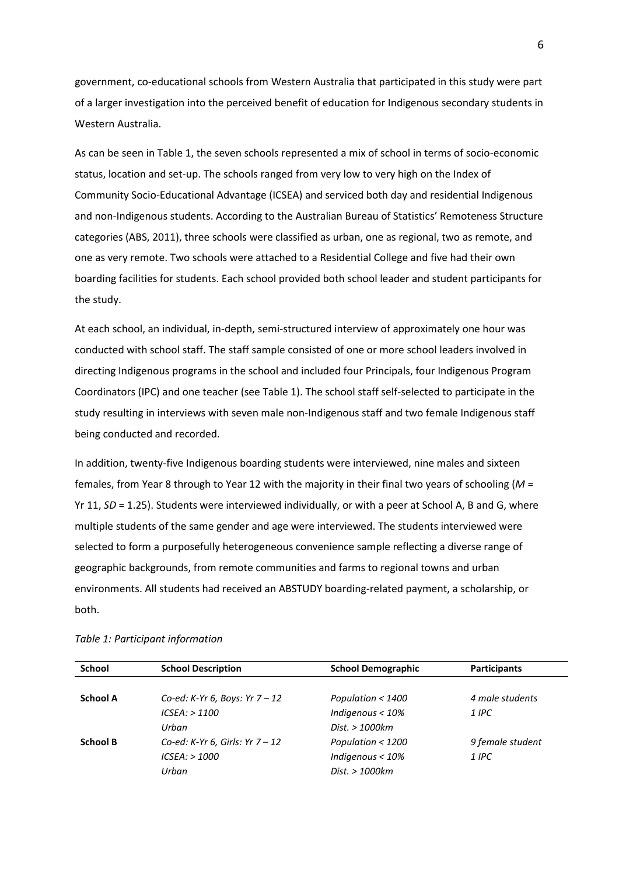government, co-educational schools from Western Australia that participated in this study were part of a larger investigation into the perceived benefit of education for Indigenous secondary students in Western Australia.

As can be seen in Table 1, the seven schools represented a mix of school in terms of socio-economic status, location and set-up. The schools ranged from very low to very high on the Index of Community Socio-Educational Advantage (ICSEA) and serviced both day and residential Indigenous and non-Indigenous students. According to the Australian Bureau of Statistics' Remoteness Structure categories (ABS, 2011), three schools were classified as urban, one as regional, two as remote, and one as very remote. Two schools were attached to a Residential College and five had their own boarding facilities for students. Each school provided both school leader and student participants for the study.

At each school, an individual, in-depth, semi-structured interview of approximately one hour was conducted with school staff. The staff sample consisted of one or more school leaders involved in directing Indigenous programs in the school and included four Principals, four Indigenous Program Coordinators (IPC) and one teacher (see Table 1). The school staff self-selected to participate in the study resulting in interviews with seven male non-Indigenous staff and two female Indigenous staff being conducted and recorded.

In addition, twenty-five Indigenous boarding students were interviewed, nine males and sixteen females, from Year 8 through to Year 12 with the majority in their final two years of schooling (*M* = Yr 11, *SD* = 1.25). Students were interviewed individually, or with a peer at School A, B and G, where multiple students of the same gender and age were interviewed. The students interviewed were selected to form a purposefully heterogeneous convenience sample reflecting a diverse range of geographic backgrounds, from remote communities and farms to regional towns and urban environments. All students had received an ABSTUDY boarding-related payment, a scholarship, or both.

| <b>School Description</b>       | <b>School Demographic</b>        | <b>Participants</b> |
|---------------------------------|----------------------------------|---------------------|
|                                 |                                  |                     |
|                                 |                                  | 4 male students     |
| $ICSEA:$ > 1100                 | Indigenous $<$ 10%               | 1 IPC               |
| Urban                           | Dist. > 1000km                   |                     |
| Co-ed: K-Yr 6, Girls: Yr $7-12$ | Population $<$ 1200              | 9 female student    |
| $ICSEA:$ > 1000                 | Indigenous $<$ 10%               | 1 IPC               |
| Urban                           | Dist. > 1000km                   |                     |
|                                 | Co-ed: K-Yr 6, Boys: Yr $7 - 12$ | Population $<$ 1400 |

#### *Table 1: Participant information*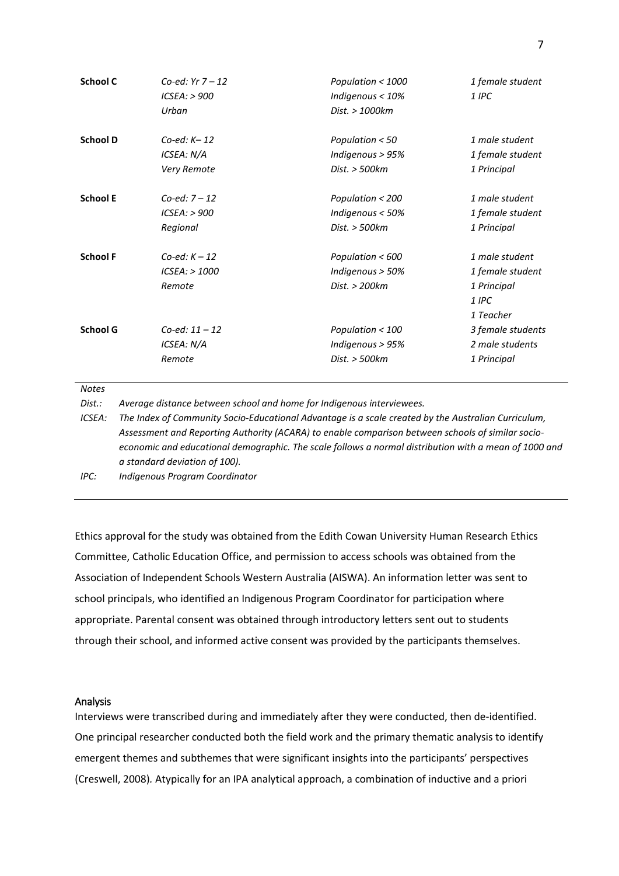| School C        | Co-ed: $Yr 7 - 12$ | Population < 1000  | 1 female student  |
|-----------------|--------------------|--------------------|-------------------|
|                 | $ICSEA:$ > 900     | Indigenous $<$ 10% | 1 IPC             |
|                 | Urban              | Dist. > 1000km     |                   |
| <b>School D</b> | $Co$ -ed: $K-12$   | Population $< 50$  | 1 male student    |
|                 | ICSEA: N/A         | Indigenous $> 95%$ | 1 female student  |
|                 | Very Remote        | Dist. > 500km      | 1 Principal       |
| <b>School E</b> | $Co$ -ed: $7 - 12$ | Population < 200   | 1 male student    |
|                 | $ICSEA:$ > 900     | Indigenous $<$ 50% | 1 female student  |
|                 | Regional           | Dist. > 500km      | 1 Principal       |
| <b>School F</b> | $Co$ -ed: $K - 12$ | Population < 600   | 1 male student    |
|                 | $ICSEA:$ > 1000    | Indigenous $>$ 50% | 1 female student  |
|                 | Remote             | Dist. > 200km      | 1 Principal       |
|                 |                    |                    | $1$ IPC           |
|                 |                    |                    | 1 Teacher         |
| <b>School G</b> | $Co$ -ed: 11 – 12  | Population $<$ 100 | 3 female students |
|                 | ICSEA: N/A         | Indigenous > 95%   | 2 male students   |
|                 | Remote             | Dist. > 500km      | 1 Principal       |

*Notes*

*Dist.: Average distance between school and home for Indigenous interviewees.*

*ICSEA: The Index of Community Socio-Educational Advantage is a scale created by the Australian Curriculum, Assessment and Reporting Authority (ACARA) to enable comparison between schools of similar socioeconomic and educational demographic. The scale follows a normal distribution with a mean of 1000 and a standard deviation of 100).*

*IPC: Indigenous Program Coordinator*

Ethics approval for the study was obtained from the Edith Cowan University Human Research Ethics Committee, Catholic Education Office, and permission to access schools was obtained from the Association of Independent Schools Western Australia (AISWA). An information letter was sent to school principals, who identified an Indigenous Program Coordinator for participation where appropriate. Parental consent was obtained through introductory letters sent out to students through their school, and informed active consent was provided by the participants themselves.

#### Analysis

Interviews were transcribed during and immediately after they were conducted, then de-identified. One principal researcher conducted both the field work and the primary thematic analysis to identify emergent themes and subthemes that were significant insights into the participants' perspectives (Creswell, 2008)*.* Atypically for an IPA analytical approach, a combination of inductive and a priori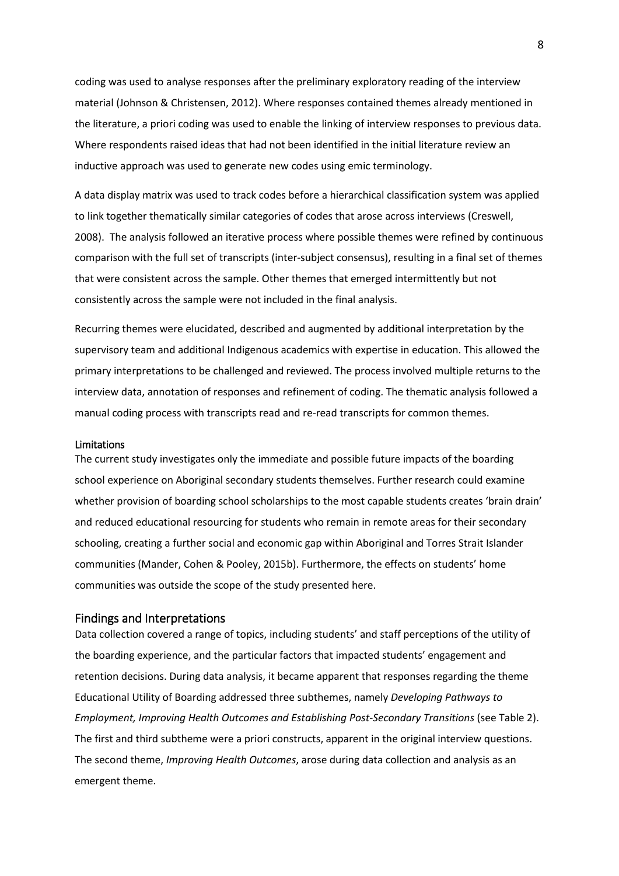coding was used to analyse responses after the preliminary exploratory reading of the interview material (Johnson & Christensen, 2012). Where responses contained themes already mentioned in the literature, a priori coding was used to enable the linking of interview responses to previous data. Where respondents raised ideas that had not been identified in the initial literature review an inductive approach was used to generate new codes using emic terminology.

A data display matrix was used to track codes before a hierarchical classification system was applied to link together thematically similar categories of codes that arose across interviews (Creswell, 2008). The analysis followed an iterative process where possible themes were refined by continuous comparison with the full set of transcripts (inter-subject consensus), resulting in a final set of themes that were consistent across the sample. Other themes that emerged intermittently but not consistently across the sample were not included in the final analysis.

Recurring themes were elucidated, described and augmented by additional interpretation by the supervisory team and additional Indigenous academics with expertise in education. This allowed the primary interpretations to be challenged and reviewed. The process involved multiple returns to the interview data, annotation of responses and refinement of coding. The thematic analysis followed a manual coding process with transcripts read and re-read transcripts for common themes.

## Limitations

The current study investigates only the immediate and possible future impacts of the boarding school experience on Aboriginal secondary students themselves. Further research could examine whether provision of boarding school scholarships to the most capable students creates 'brain drain' and reduced educational resourcing for students who remain in remote areas for their secondary schooling, creating a further social and economic gap within Aboriginal and Torres Strait Islander communities (Mander, Cohen & Pooley, 2015b). Furthermore, the effects on students' home communities was outside the scope of the study presented here.

## Findings and Interpretations

Data collection covered a range of topics, including students' and staff perceptions of the utility of the boarding experience, and the particular factors that impacted students' engagement and retention decisions. During data analysis, it became apparent that responses regarding the theme Educational Utility of Boarding addressed three subthemes, namely *Developing Pathways to Employment, Improving Health Outcomes and Establishing Post-Secondary Transitions* (see Table 2). The first and third subtheme were a priori constructs, apparent in the original interview questions. The second theme, *Improving Health Outcomes*, arose during data collection and analysis as an emergent theme.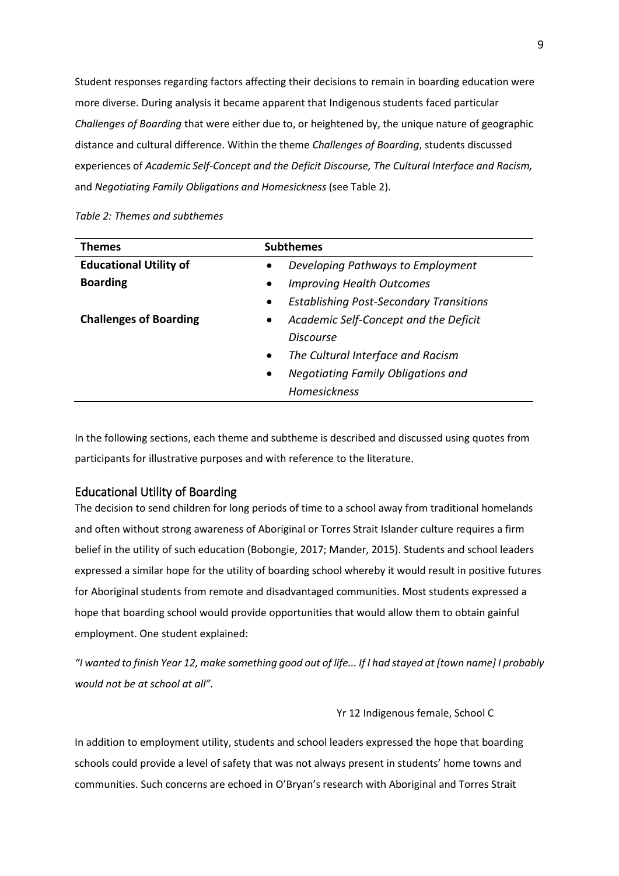Student responses regarding factors affecting their decisions to remain in boarding education were more diverse. During analysis it became apparent that Indigenous students faced particular *Challenges of Boarding* that were either due to, or heightened by, the unique nature of geographic distance and cultural difference. Within the theme *Challenges of Boarding*, students discussed experiences of *Academic Self-Concept and the Deficit Discourse, The Cultural Interface and Racism,*  and *Negotiating Family Obligations and Homesickness* (see Table 2).

# *Table 2: Themes and subthemes*

| <b>Themes</b>                 | <b>Subthemes</b>                                            |  |
|-------------------------------|-------------------------------------------------------------|--|
| <b>Educational Utility of</b> | Developing Pathways to Employment<br>$\bullet$              |  |
| <b>Boarding</b>               | <b>Improving Health Outcomes</b><br>$\bullet$               |  |
|                               | <b>Establishing Post-Secondary Transitions</b><br>$\bullet$ |  |
| <b>Challenges of Boarding</b> | Academic Self-Concept and the Deficit<br>$\bullet$          |  |
|                               | Discourse                                                   |  |
|                               | The Cultural Interface and Racism<br>$\bullet$              |  |
|                               | <b>Negotiating Family Obligations and</b><br>$\bullet$      |  |
|                               | <b>Homesickness</b>                                         |  |

In the following sections, each theme and subtheme is described and discussed using quotes from participants for illustrative purposes and with reference to the literature.

# Educational Utility of Boarding

The decision to send children for long periods of time to a school away from traditional homelands and often without strong awareness of Aboriginal or Torres Strait Islander culture requires a firm belief in the utility of such education (Bobongie, 2017; Mander, 2015). Students and school leaders expressed a similar hope for the utility of boarding school whereby it would result in positive futures for Aboriginal students from remote and disadvantaged communities. Most students expressed a hope that boarding school would provide opportunities that would allow them to obtain gainful employment. One student explained:

*"I wanted to finish Year 12, make something good out of life... If I had stayed at [town name] I probably would not be at school at all".*

## Yr 12 Indigenous female, School C

In addition to employment utility, students and school leaders expressed the hope that boarding schools could provide a level of safety that was not always present in students' home towns and communities. Such concerns are echoed in O'Bryan's research with Aboriginal and Torres Strait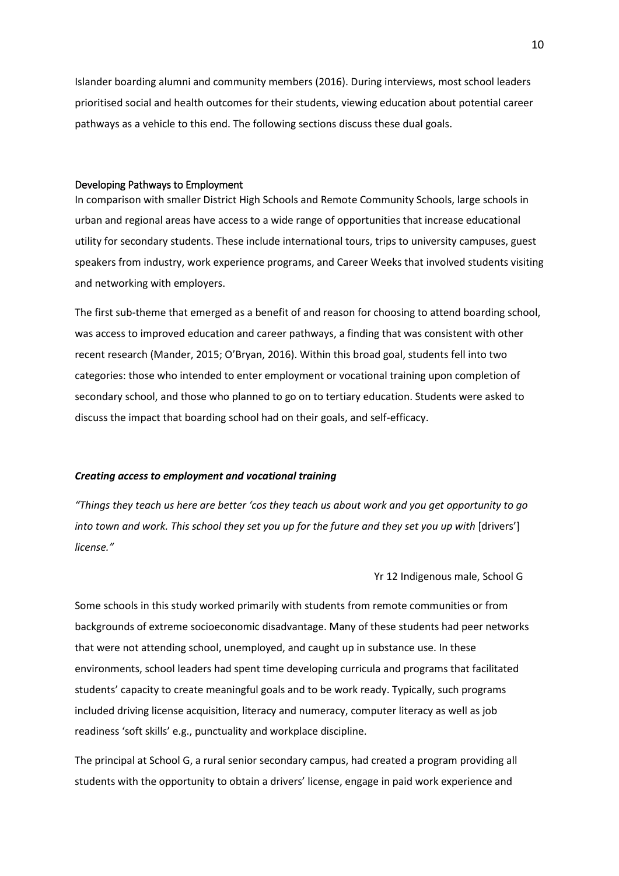Islander boarding alumni and community members (2016). During interviews, most school leaders prioritised social and health outcomes for their students, viewing education about potential career pathways as a vehicle to this end. The following sections discuss these dual goals.

#### Developing Pathways to Employment

In comparison with smaller District High Schools and Remote Community Schools, large schools in urban and regional areas have access to a wide range of opportunities that increase educational utility for secondary students. These include international tours, trips to university campuses, guest speakers from industry, work experience programs, and Career Weeks that involved students visiting and networking with employers.

The first sub-theme that emerged as a benefit of and reason for choosing to attend boarding school, was access to improved education and career pathways, a finding that was consistent with other recent research (Mander, 2015; O'Bryan, 2016). Within this broad goal, students fell into two categories: those who intended to enter employment or vocational training upon completion of secondary school, and those who planned to go on to tertiary education. Students were asked to discuss the impact that boarding school had on their goals, and self-efficacy.

# *Creating access to employment and vocational training*

*"Things they teach us here are better 'cos they teach us about work and you get opportunity to go into town and work. This school they set you up for the future and they set you up with* [drivers'] *license."*

# Yr 12 Indigenous male, School G

Some schools in this study worked primarily with students from remote communities or from backgrounds of extreme socioeconomic disadvantage. Many of these students had peer networks that were not attending school, unemployed, and caught up in substance use. In these environments, school leaders had spent time developing curricula and programs that facilitated students' capacity to create meaningful goals and to be work ready. Typically, such programs included driving license acquisition, literacy and numeracy, computer literacy as well as job readiness 'soft skills' e.g., punctuality and workplace discipline.

The principal at School G, a rural senior secondary campus, had created a program providing all students with the opportunity to obtain a drivers' license, engage in paid work experience and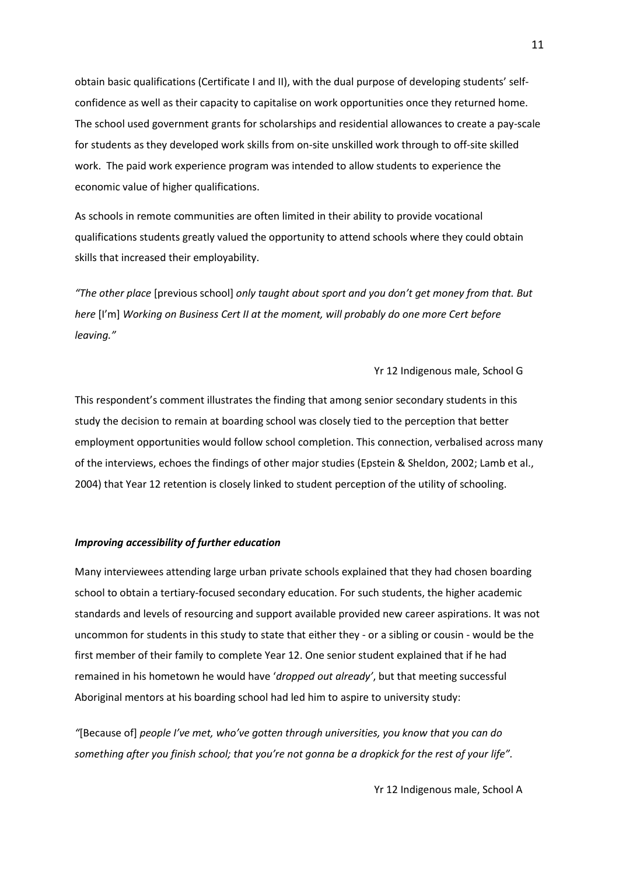obtain basic qualifications (Certificate I and II), with the dual purpose of developing students' selfconfidence as well as their capacity to capitalise on work opportunities once they returned home. The school used government grants for scholarships and residential allowances to create a pay-scale for students as they developed work skills from on-site unskilled work through to off-site skilled work. The paid work experience program was intended to allow students to experience the economic value of higher qualifications.

As schools in remote communities are often limited in their ability to provide vocational qualifications students greatly valued the opportunity to attend schools where they could obtain skills that increased their employability.

*"The other place* [previous school] *only taught about sport and you don't get money from that. But here* [I'm] *Working on Business Cert II at the moment, will probably do one more Cert before leaving."*

Yr 12 Indigenous male, School G

This respondent's comment illustrates the finding that among senior secondary students in this study the decision to remain at boarding school was closely tied to the perception that better employment opportunities would follow school completion. This connection, verbalised across many of the interviews, echoes the findings of other major studies (Epstein & Sheldon, 2002; Lamb et al., 2004) that Year 12 retention is closely linked to student perception of the utility of schooling.

# *Improving accessibility of further education*

Many interviewees attending large urban private schools explained that they had chosen boarding school to obtain a tertiary-focused secondary education. For such students, the higher academic standards and levels of resourcing and support available provided new career aspirations. It was not uncommon for students in this study to state that either they - or a sibling or cousin - would be the first member of their family to complete Year 12. One senior student explained that if he had remained in his hometown he would have '*dropped out already'*, but that meeting successful Aboriginal mentors at his boarding school had led him to aspire to university study:

*"*[Because of] *people I've met, who've gotten through universities, you know that you can do something after you finish school; that you're not gonna be a dropkick for the rest of your life".*

Yr 12 Indigenous male, School A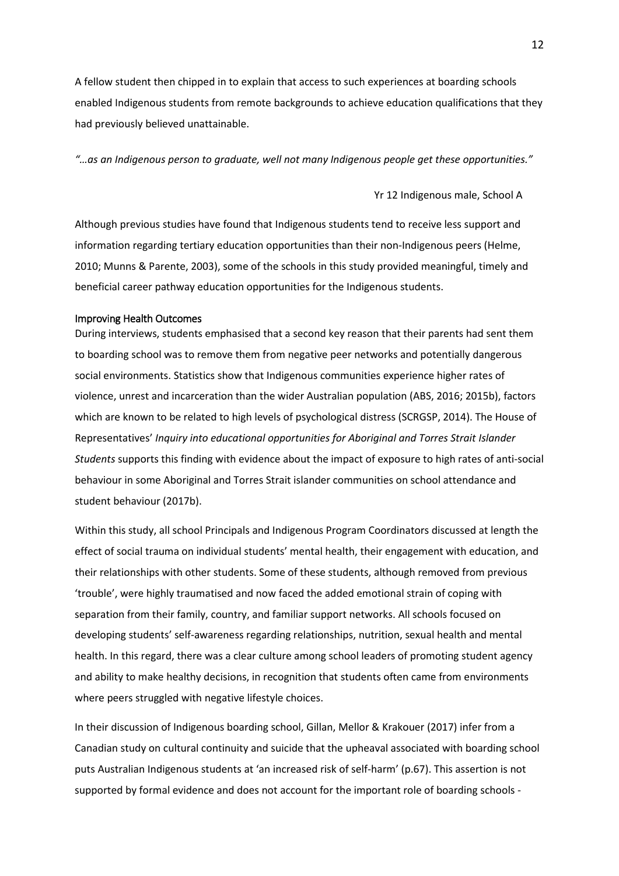A fellow student then chipped in to explain that access to such experiences at boarding schools enabled Indigenous students from remote backgrounds to achieve education qualifications that they had previously believed unattainable.

*"…as an Indigenous person to graduate, well not many Indigenous people get these opportunities."*

Yr 12 Indigenous male, School A

Although previous studies have found that Indigenous students tend to receive less support and information regarding tertiary education opportunities than their non-Indigenous peers (Helme, 2010; Munns & Parente, 2003), some of the schools in this study provided meaningful, timely and beneficial career pathway education opportunities for the Indigenous students.

#### Improving Health Outcomes

During interviews, students emphasised that a second key reason that their parents had sent them to boarding school was to remove them from negative peer networks and potentially dangerous social environments. Statistics show that Indigenous communities experience higher rates of violence, unrest and incarceration than the wider Australian population (ABS, 2016; 2015b), factors which are known to be related to high levels of psychological distress (SCRGSP, 2014). The House of Representatives' *Inquiry into educational opportunities for Aboriginal and Torres Strait Islander Students* supports this finding with evidence about the impact of exposure to high rates of anti-social behaviour in some Aboriginal and Torres Strait islander communities on school attendance and student behaviour (2017b).

Within this study, all school Principals and Indigenous Program Coordinators discussed at length the effect of social trauma on individual students' mental health, their engagement with education, and their relationships with other students. Some of these students, although removed from previous 'trouble', were highly traumatised and now faced the added emotional strain of coping with separation from their family, country, and familiar support networks. All schools focused on developing students' self-awareness regarding relationships, nutrition, sexual health and mental health. In this regard, there was a clear culture among school leaders of promoting student agency and ability to make healthy decisions, in recognition that students often came from environments where peers struggled with negative lifestyle choices.

In their discussion of Indigenous boarding school, Gillan, Mellor & Krakouer (2017) infer from a Canadian study on cultural continuity and suicide that the upheaval associated with boarding school puts Australian Indigenous students at 'an increased risk of self-harm' (p.67). This assertion is not supported by formal evidence and does not account for the important role of boarding schools -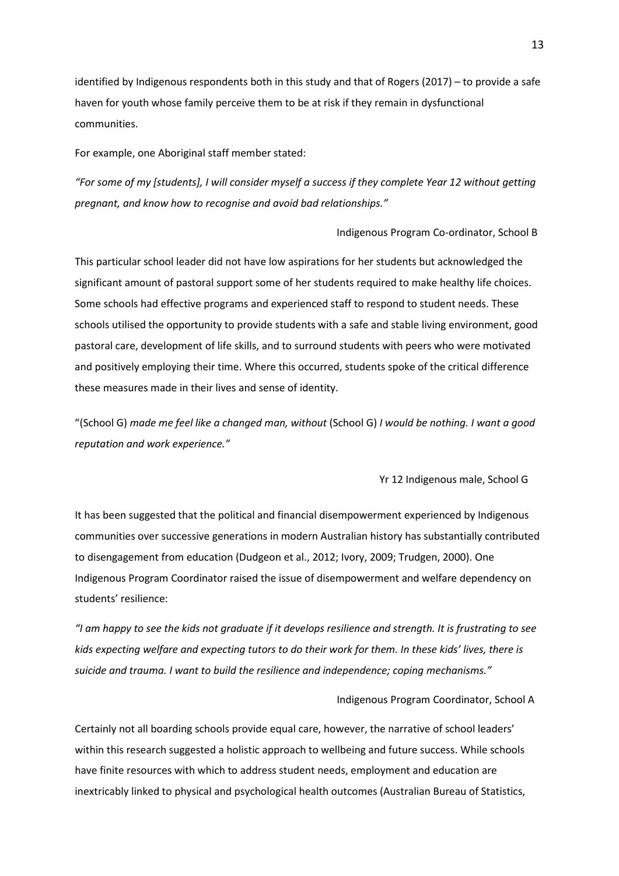identified by Indigenous respondents both in this study and that of Rogers (2017) – to provide a safe haven for youth whose family perceive them to be at risk if they remain in dysfunctional communities.

For example, one Aboriginal staff member stated:

*"For some of my [students], I will consider myself a success if they complete Year 12 without getting pregnant, and know how to recognise and avoid bad relationships."* 

Indigenous Program Co-ordinator, School B

This particular school leader did not have low aspirations for her students but acknowledged the significant amount of pastoral support some of her students required to make healthy life choices. Some schools had effective programs and experienced staff to respond to student needs. These schools utilised the opportunity to provide students with a safe and stable living environment, good pastoral care, development of life skills, and to surround students with peers who were motivated and positively employing their time. Where this occurred, students spoke of the critical difference these measures made in their lives and sense of identity.

"(School G) *made me feel like a changed man, without* (School G) *I would be nothing. I want a good reputation and work experience."* 

Yr 12 Indigenous male, School G

It has been suggested that the political and financial disempowerment experienced by Indigenous communities over successive generations in modern Australian history has substantially contributed to disengagement from education (Dudgeon et al., 2012; Ivory, 2009; Trudgen, 2000). One Indigenous Program Coordinator raised the issue of disempowerment and welfare dependency on students' resilience:

*"I am happy to see the kids not graduate if it develops resilience and strength. It is frustrating to see kids expecting welfare and expecting tutors to do their work for them. In these kids' lives, there is suicide and trauma. I want to build the resilience and independence; coping mechanisms."*

# Indigenous Program Coordinator, School A

Certainly not all boarding schools provide equal care, however, the narrative of school leaders' within this research suggested a holistic approach to wellbeing and future success. While schools have finite resources with which to address student needs, employment and education are inextricably linked to physical and psychological health outcomes (Australian Bureau of Statistics,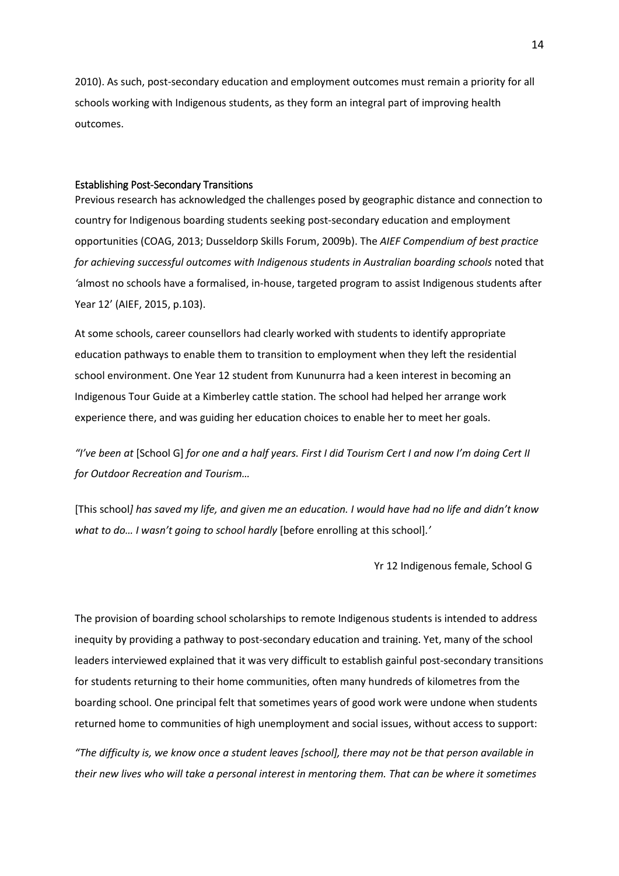2010). As such, post-secondary education and employment outcomes must remain a priority for all schools working with Indigenous students, as they form an integral part of improving health outcomes.

#### Establishing Post-Secondary Transitions

Previous research has acknowledged the challenges posed by geographic distance and connection to country for Indigenous boarding students seeking post-secondary education and employment opportunities (COAG, 2013; Dusseldorp Skills Forum, 2009b). The *AIEF Compendium of best practice*  for achieving successful outcomes with Indigenous students in Australian boarding schools noted that *'*almost no schools have a formalised, in-house, targeted program to assist Indigenous students after Year 12' (AIEF, 2015, p.103).

At some schools, career counsellors had clearly worked with students to identify appropriate education pathways to enable them to transition to employment when they left the residential school environment. One Year 12 student from Kununurra had a keen interest in becoming an Indigenous Tour Guide at a Kimberley cattle station. The school had helped her arrange work experience there, and was guiding her education choices to enable her to meet her goals.

*"I've been at* [School G] *for one and a half years. First I did Tourism Cert I and now I'm doing Cert II for Outdoor Recreation and Tourism…*

[This school*] has saved my life, and given me an education. I would have had no life and didn't know what to do… I wasn't going to school hardly* [before enrolling at this school]*.'*

Yr 12 Indigenous female, School G

The provision of boarding school scholarships to remote Indigenous students is intended to address inequity by providing a pathway to post-secondary education and training. Yet, many of the school leaders interviewed explained that it was very difficult to establish gainful post-secondary transitions for students returning to their home communities, often many hundreds of kilometres from the boarding school. One principal felt that sometimes years of good work were undone when students returned home to communities of high unemployment and social issues, without access to support:

*"The difficulty is, we know once a student leaves [school], there may not be that person available in their new lives who will take a personal interest in mentoring them. That can be where it sometimes*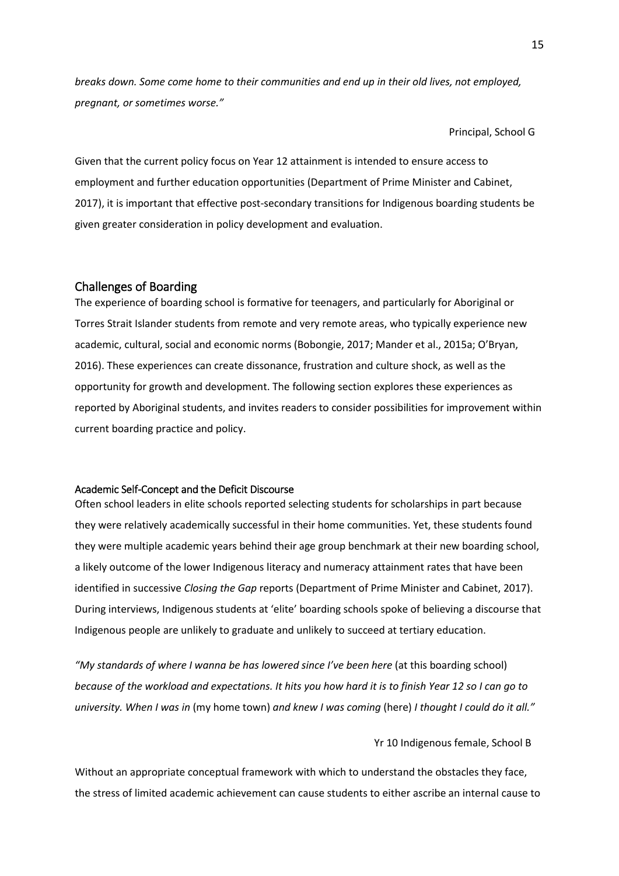*breaks down. Some come home to their communities and end up in their old lives, not employed, pregnant, or sometimes worse."*

Principal, School G

Given that the current policy focus on Year 12 attainment is intended to ensure access to employment and further education opportunities (Department of Prime Minister and Cabinet, 2017), it is important that effective post-secondary transitions for Indigenous boarding students be given greater consideration in policy development and evaluation.

# Challenges of Boarding

The experience of boarding school is formative for teenagers, and particularly for Aboriginal or Torres Strait Islander students from remote and very remote areas, who typically experience new academic, cultural, social and economic norms (Bobongie, 2017; Mander et al., 2015a; O'Bryan, 2016). These experiences can create dissonance, frustration and culture shock, as well as the opportunity for growth and development. The following section explores these experiences as reported by Aboriginal students, and invites readers to consider possibilities for improvement within current boarding practice and policy.

## Academic Self-Concept and the Deficit Discourse

Often school leaders in elite schools reported selecting students for scholarships in part because they were relatively academically successful in their home communities. Yet, these students found they were multiple academic years behind their age group benchmark at their new boarding school, a likely outcome of the lower Indigenous literacy and numeracy attainment rates that have been identified in successive *Closing the Gap* reports (Department of Prime Minister and Cabinet, 2017). During interviews, Indigenous students at 'elite' boarding schools spoke of believing a discourse that Indigenous people are unlikely to graduate and unlikely to succeed at tertiary education.

"My standards of where I wanna be has lowered since I've been here (at this boarding school) *because of the workload and expectations. It hits you how hard it is to finish Year 12 so I can go to university. When I was in* (my home town) *and knew I was coming* (here) *I thought I could do it all."*

#### Yr 10 Indigenous female, School B

Without an appropriate conceptual framework with which to understand the obstacles they face, the stress of limited academic achievement can cause students to either ascribe an internal cause to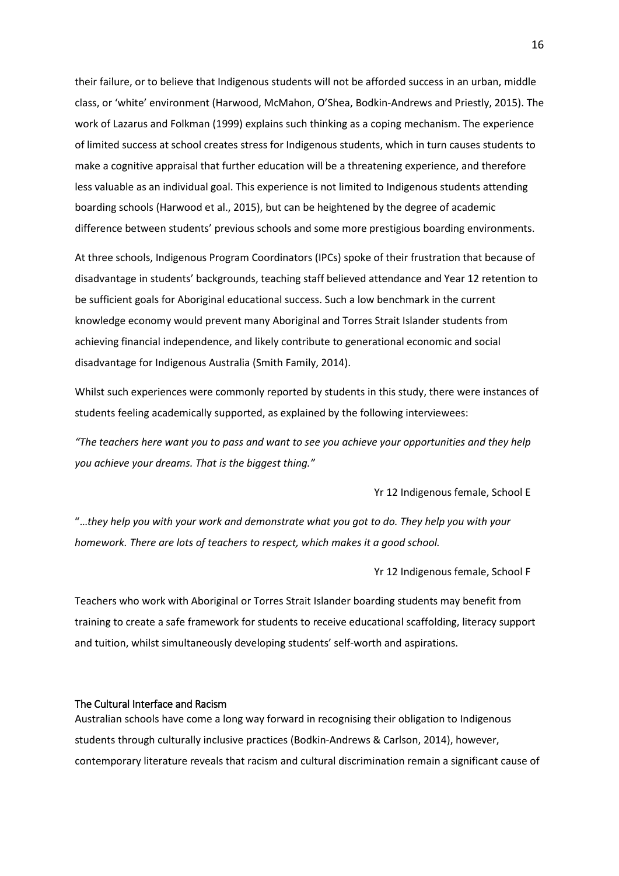their failure, or to believe that Indigenous students will not be afforded success in an urban, middle class, or 'white' environment (Harwood, McMahon, O'Shea, Bodkin-Andrews and Priestly, 2015). The work of Lazarus and Folkman (1999) explains such thinking as a coping mechanism. The experience of limited success at school creates stress for Indigenous students, which in turn causes students to make a cognitive appraisal that further education will be a threatening experience, and therefore less valuable as an individual goal. This experience is not limited to Indigenous students attending boarding schools (Harwood et al., 2015), but can be heightened by the degree of academic difference between students' previous schools and some more prestigious boarding environments.

At three schools, Indigenous Program Coordinators (IPCs) spoke of their frustration that because of disadvantage in students' backgrounds, teaching staff believed attendance and Year 12 retention to be sufficient goals for Aboriginal educational success. Such a low benchmark in the current knowledge economy would prevent many Aboriginal and Torres Strait Islander students from achieving financial independence, and likely contribute to generational economic and social disadvantage for Indigenous Australia (Smith Family, 2014).

Whilst such experiences were commonly reported by students in this study, there were instances of students feeling academically supported, as explained by the following interviewees:

*"The teachers here want you to pass and want to see you achieve your opportunities and they help you achieve your dreams. That is the biggest thing."*

Yr 12 Indigenous female, School E

"…*they help you with your work and demonstrate what you got to do. They help you with your homework. There are lots of teachers to respect, which makes it a good school.*

Yr 12 Indigenous female, School F

Teachers who work with Aboriginal or Torres Strait Islander boarding students may benefit from training to create a safe framework for students to receive educational scaffolding, literacy support and tuition, whilst simultaneously developing students' self-worth and aspirations.

# The Cultural Interface and Racism

Australian schools have come a long way forward in recognising their obligation to Indigenous students through culturally inclusive practices (Bodkin-Andrews & Carlson, 2014), however, contemporary literature reveals that racism and cultural discrimination remain a significant cause of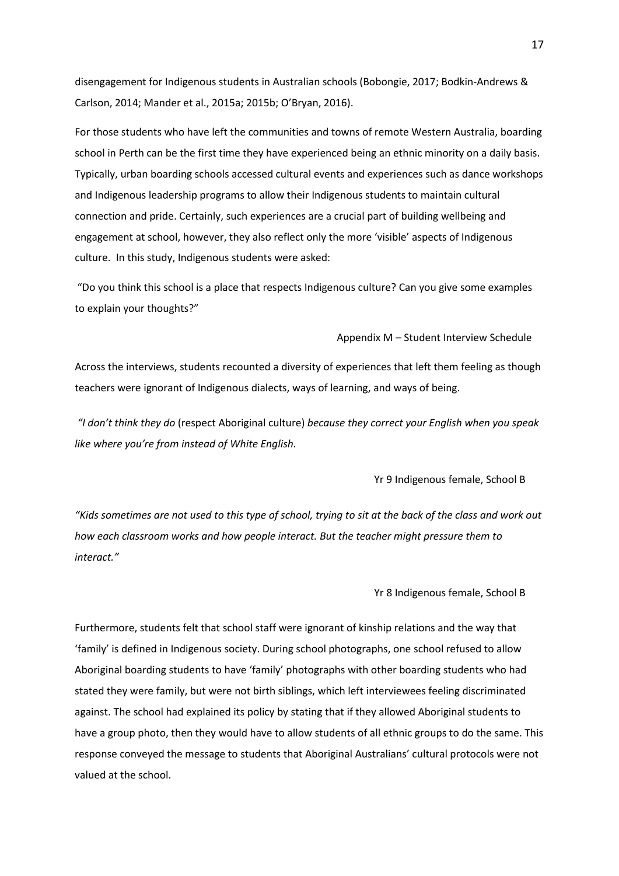disengagement for Indigenous students in Australian schools (Bobongie, 2017; Bodkin-Andrews & Carlson, 2014; Mander et al., 2015a; 2015b; O'Bryan, 2016).

For those students who have left the communities and towns of remote Western Australia, boarding school in Perth can be the first time they have experienced being an ethnic minority on a daily basis. Typically, urban boarding schools accessed cultural events and experiences such as dance workshops and Indigenous leadership programs to allow their Indigenous students to maintain cultural connection and pride. Certainly, such experiences are a crucial part of building wellbeing and engagement at school, however, they also reflect only the more 'visible' aspects of Indigenous culture. In this study, Indigenous students were asked:

"Do you think this school is a place that respects Indigenous culture? Can you give some examples to explain your thoughts?"

Appendix M – Student Interview Schedule

Across the interviews, students recounted a diversity of experiences that left them feeling as though teachers were ignorant of Indigenous dialects, ways of learning, and ways of being.

*"I don't think they do* (respect Aboriginal culture) *because they correct your English when you speak like where you're from instead of White English.*

Yr 9 Indigenous female, School B

*"Kids sometimes are not used to this type of school, trying to sit at the back of the class and work out how each classroom works and how people interact. But the teacher might pressure them to interact."* 

Yr 8 Indigenous female, School B

Furthermore, students felt that school staff were ignorant of kinship relations and the way that 'family' is defined in Indigenous society. During school photographs, one school refused to allow Aboriginal boarding students to have 'family' photographs with other boarding students who had stated they were family, but were not birth siblings, which left interviewees feeling discriminated against. The school had explained its policy by stating that if they allowed Aboriginal students to have a group photo, then they would have to allow students of all ethnic groups to do the same. This response conveyed the message to students that Aboriginal Australians' cultural protocols were not valued at the school.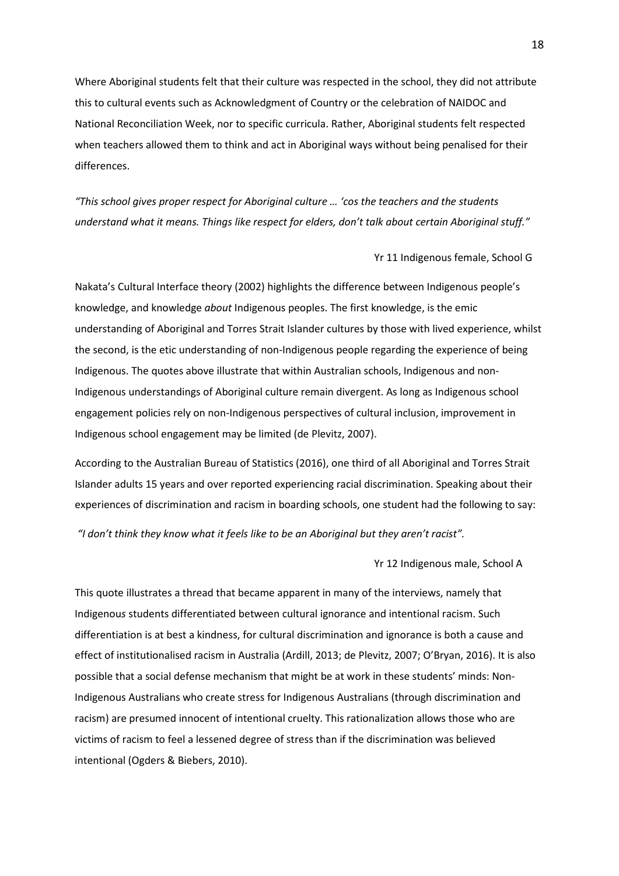Where Aboriginal students felt that their culture was respected in the school, they did not attribute this to cultural events such as Acknowledgment of Country or the celebration of NAIDOC and National Reconciliation Week, nor to specific curricula. Rather, Aboriginal students felt respected when teachers allowed them to think and act in Aboriginal ways without being penalised for their differences.

*"This school gives proper respect for Aboriginal culture … 'cos the teachers and the students understand what it means. Things like respect for elders, don't talk about certain Aboriginal stuff."* 

Yr 11 Indigenous female, School G

Nakata's Cultural Interface theory (2002) highlights the difference between Indigenous people's knowledge, and knowledge *about* Indigenous peoples. The first knowledge, is the emic understanding of Aboriginal and Torres Strait Islander cultures by those with lived experience, whilst the second, is the etic understanding of non-Indigenous people regarding the experience of being Indigenous. The quotes above illustrate that within Australian schools, Indigenous and non-Indigenous understandings of Aboriginal culture remain divergent. As long as Indigenous school engagement policies rely on non-Indigenous perspectives of cultural inclusion, improvement in Indigenous school engagement may be limited (de Plevitz, 2007).

According to the Australian Bureau of Statistics (2016), one third of all Aboriginal and Torres Strait Islander adults 15 years and over reported experiencing racial discrimination. Speaking about their experiences of discrimination and racism in boarding schools, one student had the following to say:

*"I don't think they know what it feels like to be an Aboriginal but they aren't racist".*

Yr 12 Indigenous male, School A

This quote illustrates a thread that became apparent in many of the interviews, namely that Indigenou*s* students differentiated between cultural ignorance and intentional racism. Such differentiation is at best a kindness, for cultural discrimination and ignorance is both a cause and effect of institutionalised racism in Australia (Ardill, 2013; de Plevitz, 2007; O'Bryan, 2016). It is also possible that a social defense mechanism that might be at work in these students' minds: Non-Indigenous Australians who create stress for Indigenous Australians (through discrimination and racism) are presumed innocent of intentional cruelty. This rationalization allows those who are victims of racism to feel a lessened degree of stress than if the discrimination was believed intentional (Ogders & Biebers, 2010).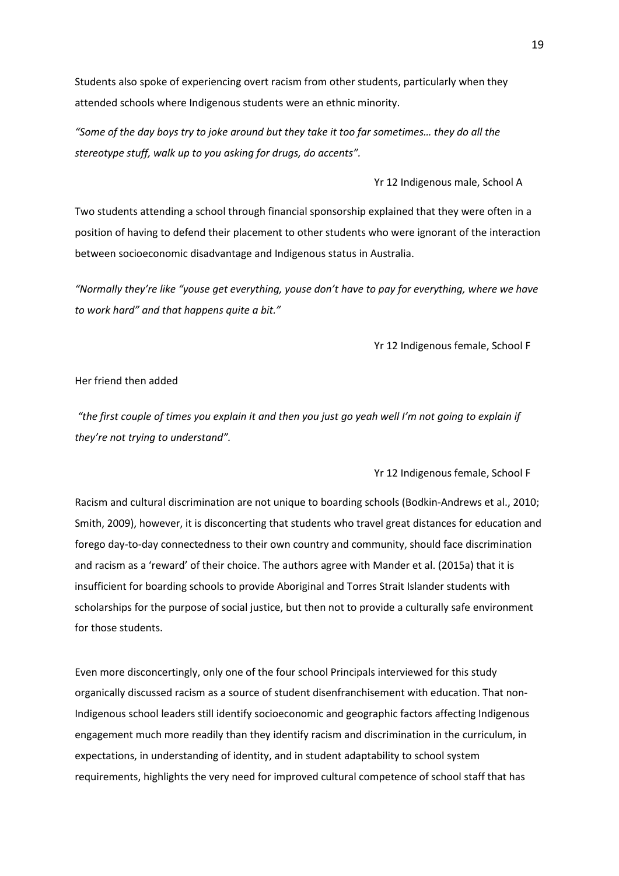Students also spoke of experiencing overt racism from other students, particularly when they attended schools where Indigenous students were an ethnic minority.

*"Some of the day boys try to joke around but they take it too far sometimes… they do all the stereotype stuff, walk up to you asking for drugs, do accents".*

Yr 12 Indigenous male, School A

Two students attending a school through financial sponsorship explained that they were often in a position of having to defend their placement to other students who were ignorant of the interaction between socioeconomic disadvantage and Indigenous status in Australia.

*"Normally they're like "youse get everything, youse don't have to pay for everything, where we have to work hard" and that happens quite a bit."* 

Yr 12 Indigenous female, School F

# Her friend then added

*"the first couple of times you explain it and then you just go yeah well I'm not going to explain if they're not trying to understand".* 

Yr 12 Indigenous female, School F

Racism and cultural discrimination are not unique to boarding schools (Bodkin-Andrews et al., 2010; Smith, 2009), however, it is disconcerting that students who travel great distances for education and forego day-to-day connectedness to their own country and community, should face discrimination and racism as a 'reward' of their choice. The authors agree with Mander et al. (2015a) that it is insufficient for boarding schools to provide Aboriginal and Torres Strait Islander students with scholarships for the purpose of social justice, but then not to provide a culturally safe environment for those students.

Even more disconcertingly, only one of the four school Principals interviewed for this study organically discussed racism as a source of student disenfranchisement with education. That non-Indigenous school leaders still identify socioeconomic and geographic factors affecting Indigenous engagement much more readily than they identify racism and discrimination in the curriculum, in expectations, in understanding of identity, and in student adaptability to school system requirements, highlights the very need for improved cultural competence of school staff that has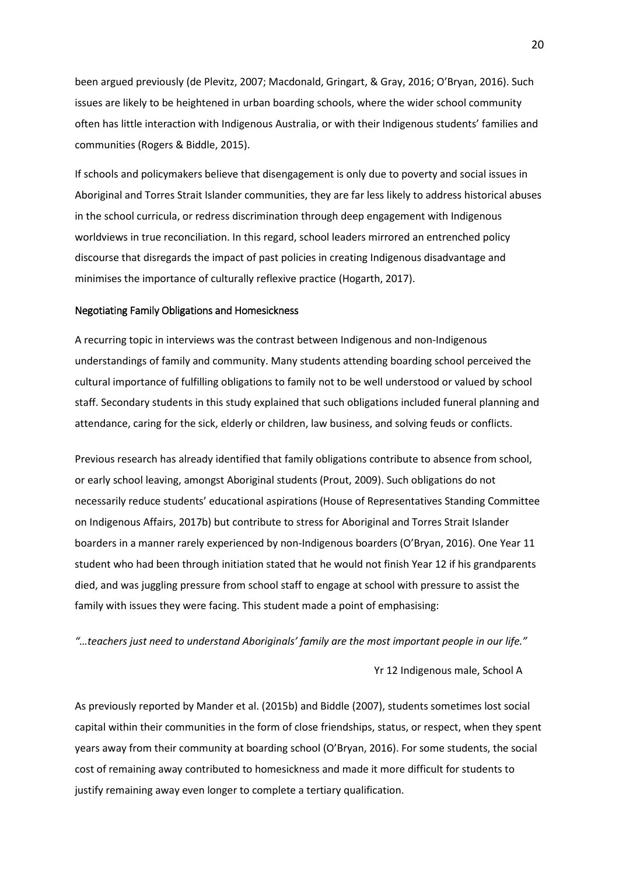been argued previously (de Plevitz, 2007; Macdonald, Gringart, & Gray, 2016; O'Bryan, 2016). Such issues are likely to be heightened in urban boarding schools, where the wider school community often has little interaction with Indigenous Australia, or with their Indigenous students' families and communities (Rogers & Biddle, 2015).

If schools and policymakers believe that disengagement is only due to poverty and social issues in Aboriginal and Torres Strait Islander communities, they are far less likely to address historical abuses in the school curricula, or redress discrimination through deep engagement with Indigenous worldviews in true reconciliation. In this regard, school leaders mirrored an entrenched policy discourse that disregards the impact of past policies in creating Indigenous disadvantage and minimises the importance of culturally reflexive practice (Hogarth, 2017).

#### Negotiating Family Obligations and Homesickness

A recurring topic in interviews was the contrast between Indigenous and non-Indigenous understandings of family and community. Many students attending boarding school perceived the cultural importance of fulfilling obligations to family not to be well understood or valued by school staff. Secondary students in this study explained that such obligations included funeral planning and attendance, caring for the sick, elderly or children, law business, and solving feuds or conflicts.

Previous research has already identified that family obligations contribute to absence from school, or early school leaving, amongst Aboriginal students (Prout, 2009). Such obligations do not necessarily reduce students' educational aspirations (House of Representatives Standing Committee on Indigenous Affairs, 2017b) but contribute to stress for Aboriginal and Torres Strait Islander boarders in a manner rarely experienced by non-Indigenous boarders (O'Bryan, 2016). One Year 11 student who had been through initiation stated that he would not finish Year 12 if his grandparents died, and was juggling pressure from school staff to engage at school with pressure to assist the family with issues they were facing. This student made a point of emphasising:

*"…teachers just need to understand Aboriginals' family are the most important people in our life."*

#### Yr 12 Indigenous male, School A

As previously reported by Mander et al. (2015b) and Biddle (2007), students sometimes lost social capital within their communities in the form of close friendships, status, or respect, when they spent years away from their community at boarding school (O'Bryan, 2016). For some students, the social cost of remaining away contributed to homesickness and made it more difficult for students to justify remaining away even longer to complete a tertiary qualification.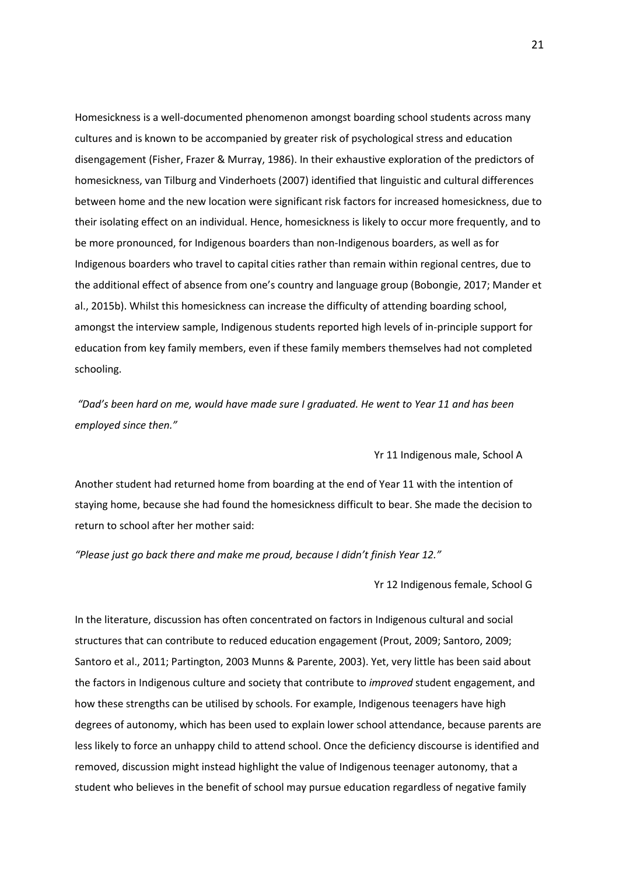Homesickness is a well-documented phenomenon amongst boarding school students across many cultures and is known to be accompanied by greater risk of psychological stress and education disengagement (Fisher, Frazer & Murray, 1986). In their exhaustive exploration of the predictors of homesickness, van Tilburg and Vinderhoets (2007) identified that linguistic and cultural differences between home and the new location were significant risk factors for increased homesickness, due to their isolating effect on an individual. Hence, homesickness is likely to occur more frequently, and to be more pronounced, for Indigenous boarders than non-Indigenous boarders, as well as for Indigenous boarders who travel to capital cities rather than remain within regional centres, due to the additional effect of absence from one's country and language group (Bobongie, 2017; Mander et al., 2015b). Whilst this homesickness can increase the difficulty of attending boarding school, amongst the interview sample, Indigenous students reported high levels of in-principle support for education from key family members, even if these family members themselves had not completed schooling.

*"Dad's been hard on me, would have made sure I graduated. He went to Year 11 and has been employed since then."*

Yr 11 Indigenous male, School A

Another student had returned home from boarding at the end of Year 11 with the intention of staying home, because she had found the homesickness difficult to bear. She made the decision to return to school after her mother said:

*"Please just go back there and make me proud, because I didn't finish Year 12."*

Yr 12 Indigenous female, School G

In the literature, discussion has often concentrated on factors in Indigenous cultural and social structures that can contribute to reduced education engagement (Prout, 2009; Santoro, 2009; Santoro et al., 2011; Partington, 2003 Munns & Parente, 2003). Yet, very little has been said about the factors in Indigenous culture and society that contribute to *improved* student engagement, and how these strengths can be utilised by schools. For example, Indigenous teenagers have high degrees of autonomy, which has been used to explain lower school attendance, because parents are less likely to force an unhappy child to attend school. Once the deficiency discourse is identified and removed, discussion might instead highlight the value of Indigenous teenager autonomy, that a student who believes in the benefit of school may pursue education regardless of negative family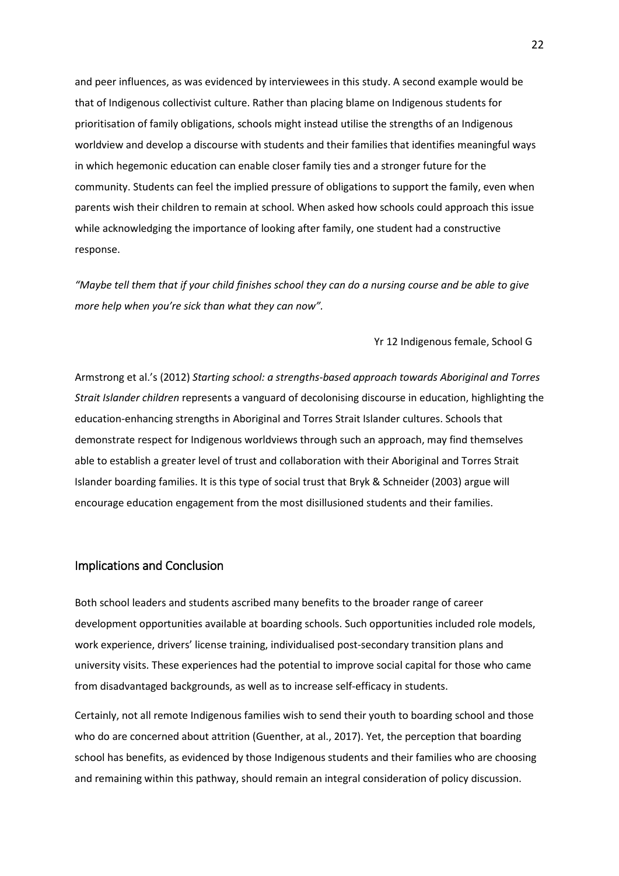and peer influences, as was evidenced by interviewees in this study. A second example would be that of Indigenous collectivist culture. Rather than placing blame on Indigenous students for prioritisation of family obligations, schools might instead utilise the strengths of an Indigenous worldview and develop a discourse with students and their families that identifies meaningful ways in which hegemonic education can enable closer family ties and a stronger future for the community. Students can feel the implied pressure of obligations to support the family, even when parents wish their children to remain at school. When asked how schools could approach this issue while acknowledging the importance of looking after family, one student had a constructive response.

*"Maybe tell them that if your child finishes school they can do a nursing course and be able to give more help when you're sick than what they can now".* 

## Yr 12 Indigenous female, School G

Armstrong et al.'s (2012) *Starting school: a strengths-based approach towards Aboriginal and Torres Strait Islander children* represents a vanguard of decolonising discourse in education, highlighting the education-enhancing strengths in Aboriginal and Torres Strait Islander cultures. Schools that demonstrate respect for Indigenous worldviews through such an approach, may find themselves able to establish a greater level of trust and collaboration with their Aboriginal and Torres Strait Islander boarding families. It is this type of social trust that Bryk & Schneider (2003) argue will encourage education engagement from the most disillusioned students and their families.

# Implications and Conclusion

Both school leaders and students ascribed many benefits to the broader range of career development opportunities available at boarding schools. Such opportunities included role models, work experience, drivers' license training, individualised post-secondary transition plans and university visits. These experiences had the potential to improve social capital for those who came from disadvantaged backgrounds, as well as to increase self-efficacy in students.

Certainly, not all remote Indigenous families wish to send their youth to boarding school and those who do are concerned about attrition (Guenther, at al., 2017). Yet, the perception that boarding school has benefits, as evidenced by those Indigenous students and their families who are choosing and remaining within this pathway, should remain an integral consideration of policy discussion.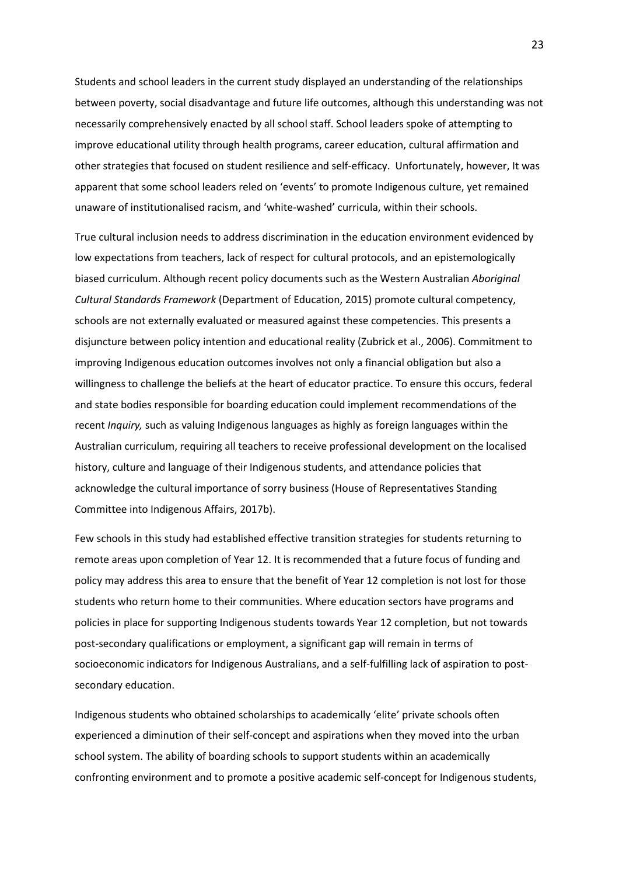Students and school leaders in the current study displayed an understanding of the relationships between poverty, social disadvantage and future life outcomes, although this understanding was not necessarily comprehensively enacted by all school staff. School leaders spoke of attempting to improve educational utility through health programs, career education, cultural affirmation and other strategies that focused on student resilience and self-efficacy. Unfortunately, however, It was apparent that some school leaders reled on 'events' to promote Indigenous culture, yet remained unaware of institutionalised racism, and 'white-washed' curricula, within their schools.

True cultural inclusion needs to address discrimination in the education environment evidenced by low expectations from teachers, lack of respect for cultural protocols, and an epistemologically biased curriculum. Although recent policy documents such as the Western Australian *Aboriginal Cultural Standards Framework* (Department of Education, 2015) promote cultural competency, schools are not externally evaluated or measured against these competencies. This presents a disjuncture between policy intention and educational reality (Zubrick et al., 2006). Commitment to improving Indigenous education outcomes involves not only a financial obligation but also a willingness to challenge the beliefs at the heart of educator practice. To ensure this occurs, federal and state bodies responsible for boarding education could implement recommendations of the recent *Inquiry,* such as valuing Indigenous languages as highly as foreign languages within the Australian curriculum, requiring all teachers to receive professional development on the localised history, culture and language of their Indigenous students, and attendance policies that acknowledge the cultural importance of sorry business (House of Representatives Standing Committee into Indigenous Affairs, 2017b).

Few schools in this study had established effective transition strategies for students returning to remote areas upon completion of Year 12. It is recommended that a future focus of funding and policy may address this area to ensure that the benefit of Year 12 completion is not lost for those students who return home to their communities. Where education sectors have programs and policies in place for supporting Indigenous students towards Year 12 completion, but not towards post-secondary qualifications or employment, a significant gap will remain in terms of socioeconomic indicators for Indigenous Australians, and a self-fulfilling lack of aspiration to postsecondary education.

Indigenous students who obtained scholarships to academically 'elite' private schools often experienced a diminution of their self-concept and aspirations when they moved into the urban school system. The ability of boarding schools to support students within an academically confronting environment and to promote a positive academic self-concept for Indigenous students,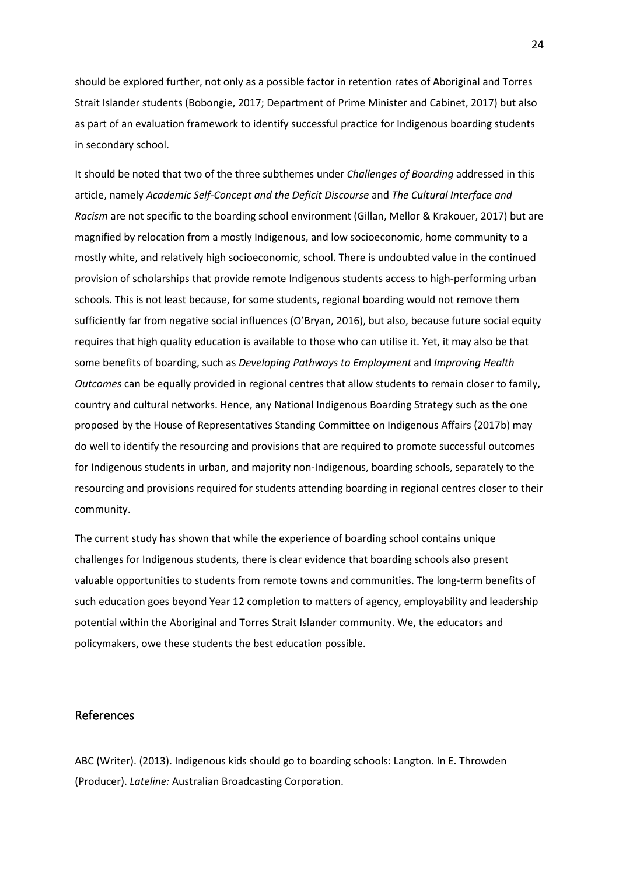should be explored further, not only as a possible factor in retention rates of Aboriginal and Torres Strait Islander students (Bobongie, 2017; Department of Prime Minister and Cabinet, 2017) but also as part of an evaluation framework to identify successful practice for Indigenous boarding students in secondary school.

It should be noted that two of the three subthemes under *Challenges of Boarding* addressed in this article, namely *Academic Self-Concept and the Deficit Discourse* and *The Cultural Interface and Racism* are not specific to the boarding school environment (Gillan, Mellor & Krakouer, 2017) but are magnified by relocation from a mostly Indigenous, and low socioeconomic, home community to a mostly white, and relatively high socioeconomic, school. There is undoubted value in the continued provision of scholarships that provide remote Indigenous students access to high-performing urban schools. This is not least because, for some students, regional boarding would not remove them sufficiently far from negative social influences (O'Bryan, 2016), but also, because future social equity requires that high quality education is available to those who can utilise it. Yet, it may also be that some benefits of boarding, such as *Developing Pathways to Employment* and *Improving Health Outcomes* can be equally provided in regional centres that allow students to remain closer to family, country and cultural networks. Hence, any National Indigenous Boarding Strategy such as the one proposed by the House of Representatives Standing Committee on Indigenous Affairs (2017b) may do well to identify the resourcing and provisions that are required to promote successful outcomes for Indigenous students in urban, and majority non-Indigenous, boarding schools, separately to the resourcing and provisions required for students attending boarding in regional centres closer to their community.

The current study has shown that while the experience of boarding school contains unique challenges for Indigenous students, there is clear evidence that boarding schools also present valuable opportunities to students from remote towns and communities. The long-term benefits of such education goes beyond Year 12 completion to matters of agency, employability and leadership potential within the Aboriginal and Torres Strait Islander community. We, the educators and policymakers, owe these students the best education possible.

# References

ABC (Writer). (2013). Indigenous kids should go to boarding schools: Langton. In E. Throwden (Producer). *Lateline:* Australian Broadcasting Corporation.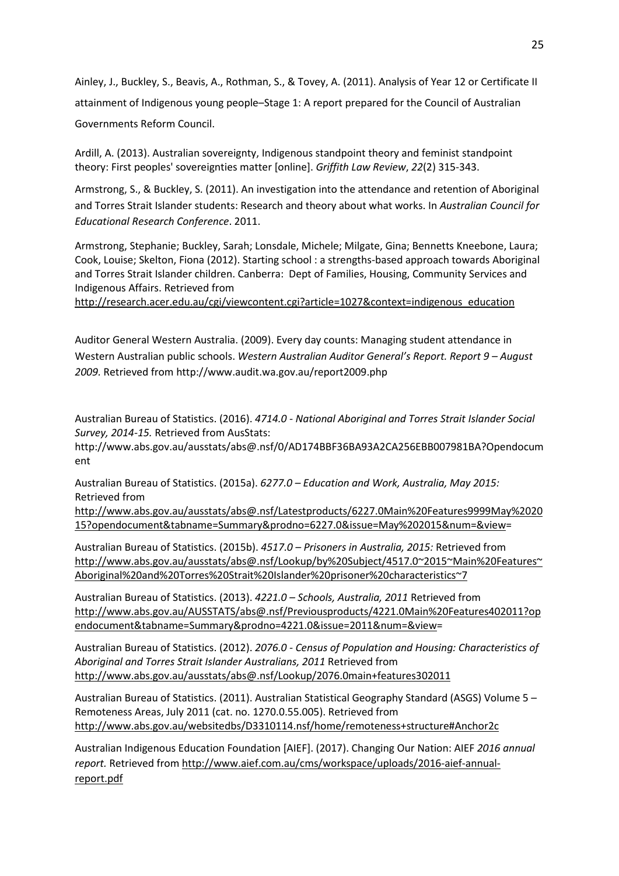Ainley, J., Buckley, S., Beavis, A., Rothman, S., & Tovey, A. (2011). Analysis of Year 12 or Certificate II attainment of Indigenous young people–Stage 1: A report prepared for the Council of Australian Governments Reform Council.

Ardill, A. (2013). Australian sovereignty, Indigenous standpoint theory and feminist standpoint theory: First peoples' sovereignties matter [online]. *Griffith Law Review*, *22*(2) 315-343.

Armstrong, S., & Buckley, S. (2011). An investigation into the attendance and retention of Aboriginal and Torres Strait Islander students: Research and theory about what works. In *Australian Council for Educational Research Conference*. 2011.

Armstrong, Stephanie; Buckley, Sarah; Lonsdale, Michele; Milgate, Gina; Bennetts Kneebone, Laura; Cook, Louise; Skelton, Fiona (2012). Starting school : a strengths-based approach towards Aboriginal and Torres Strait Islander children. Canberra: Dept of Families, Housing, Community Services and Indigenous Affairs. Retrieved from

[http://research.acer.edu.au/cgi/viewcontent.cgi?article=1027&context=indigenous\\_education](http://research.acer.edu.au/cgi/viewcontent.cgi?article=1027&context=indigenous_education)

Auditor General Western Australia. (2009). Every day counts: Managing student attendance in Western Australian public schools. *Western Australian Auditor General's Report. Report 9 – August 2009.* Retrieved from http://www.audit.wa.gov.au/report2009.php

Australian Bureau of Statistics. (2016). *4714.0 - National Aboriginal and Torres Strait Islander Social Survey, 2014-15.* Retrieved from AusStats:

http://www.abs.gov.au/ausstats/abs@.nsf/0/AD174BBF36BA93A2CA256EBB007981BA?Opendocum ent

Australian Bureau of Statistics. (2015a). *6277.0 – Education and Work, Australia, May 2015:*  Retrieved from

[http://www.abs.gov.au/ausstats/abs@.nsf/Latestproducts/6227.0Main%20Features9999May%2020](http://www.abs.gov.au/ausstats/abs@.nsf/Latestproducts/6227.0Main%20Features9999May%202015?opendocument&tabname=Summary&prodno=6227.0&issue=May%202015&num=&view) [15?opendocument&tabname=Summary&prodno=6227.0&issue=May%202015&num=&view=](http://www.abs.gov.au/ausstats/abs@.nsf/Latestproducts/6227.0Main%20Features9999May%202015?opendocument&tabname=Summary&prodno=6227.0&issue=May%202015&num=&view)

Australian Bureau of Statistics. (2015b). *4517.0 – Prisoners in Australia, 2015:* Retrieved from [http://www.abs.gov.au/ausstats/abs@.nsf/Lookup/by%20Subject/4517.0~2015~Main%20Features~](http://www.abs.gov.au/ausstats/abs@.nsf/Lookup/by%20Subject/4517.0%7E2015%7EMain%20Features%7EAboriginal%20and%20Torres%20Strait%20Islander%20prisoner%20characteristics%7E7) [Aboriginal%20and%20Torres%20Strait%20Islander%20prisoner%20characteristics~7](http://www.abs.gov.au/ausstats/abs@.nsf/Lookup/by%20Subject/4517.0%7E2015%7EMain%20Features%7EAboriginal%20and%20Torres%20Strait%20Islander%20prisoner%20characteristics%7E7)

Australian Bureau of Statistics. (2013). *4221.0 – Schools, Australia, 2011* Retrieved from [http://www.abs.gov.au/AUSSTATS/abs@.nsf/Previousproducts/4221.0Main%20Features402011?op](http://www.abs.gov.au/AUSSTATS/abs@.nsf/Previousproducts/4221.0Main%20Features402011?opendocument&tabname=Summary&prodno=4221.0&issue=2011&num=&view) [endocument&tabname=Summary&prodno=4221.0&issue=2011&num=&view=](http://www.abs.gov.au/AUSSTATS/abs@.nsf/Previousproducts/4221.0Main%20Features402011?opendocument&tabname=Summary&prodno=4221.0&issue=2011&num=&view)

Australian Bureau of Statistics. (2012). *2076.0 - Census of Population and Housing: Characteristics of Aboriginal and Torres Strait Islander Australians, 2011* Retrieved from <http://www.abs.gov.au/ausstats/abs@.nsf/Lookup/2076.0main+features302011>

Australian Bureau of Statistics. (2011). [Australian Statistical Geography Standard \(ASGS\) Volume 5 –](http://www.abs.gov.au/ausstats/abs@.nsf/mf/1270.0.55.005?OpenDocument) [Remoteness Areas, July 2011](http://www.abs.gov.au/ausstats/abs@.nsf/mf/1270.0.55.005?OpenDocument) (cat. no. 1270.0.55.005). Retrieved from [http://www.abs.gov.au/websitedbs/D3310114.nsf/home/remoteness+structure#Anchor2c](http://www.abs.gov.au/websitedbs/D3310114.nsf/home/remoteness+structure%23Anchor2c)

Australian Indigenous Education Foundation [AIEF]. (2017). Changing Our Nation: AIEF *2016 annual report.* Retrieved from [http://www.aief.com.au/cms/workspace/uploads/2016-aief-annual](http://www.aief.com.au/cms/workspace/uploads/2016-aief-annual-report.pdf)[report.pdf](http://www.aief.com.au/cms/workspace/uploads/2016-aief-annual-report.pdf)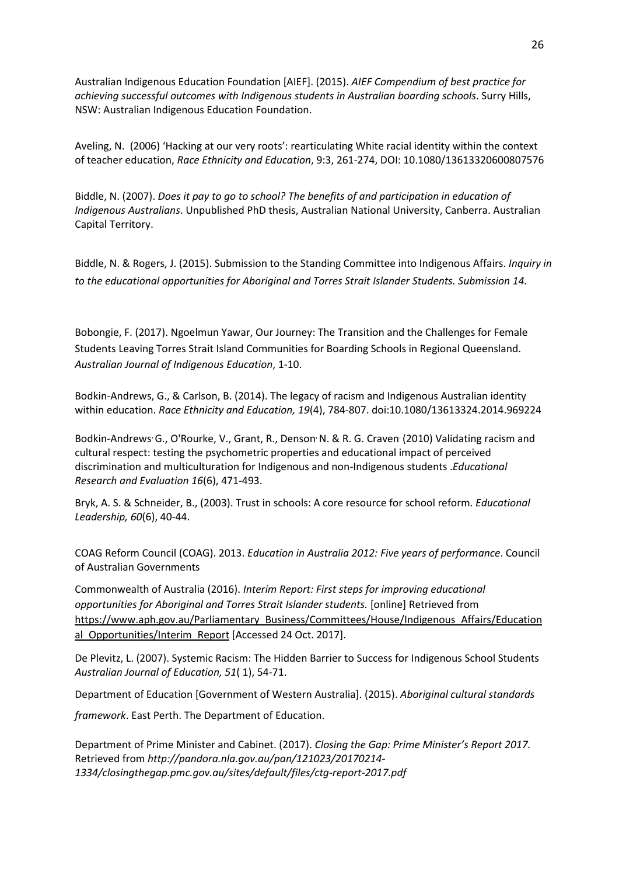Australian Indigenous Education Foundation [AIEF]. (2015). *AIEF Compendium of best practice for achieving successful outcomes with Indigenous students in Australian boarding schools*. Surry Hills, NSW: Australian Indigenous Education Foundation.

Aveling, N. (2006) 'Hacking at our very roots': rearticulating White racial identity within the context of teacher education, *Race Ethnicity and Education*, 9:3, 261-274, DOI: 10.1080/13613320600807576

Biddle, N. (2007). *Does it pay to go to school? The benefits of and participation in education of Indigenous Australians*. Unpublished PhD thesis, Australian National University, Canberra. Australian Capital Territory.

Biddle, N. & Rogers, J. (2015). Submission to the Standing Committee into Indigenous Affairs. *Inquiry in to the educational opportunities for Aboriginal and Torres Strait Islander Students. Submission 14.*

Bobongie, F. (2017). Ngoelmun Yawar, Our Journey: The Transition and the Challenges for Female Students Leaving Torres Strait Island Communities for Boarding Schools in Regional Queensland. *Australian Journal of Indigenous Education*, 1-10.

Bodkin-Andrews, G., & Carlson, B. (2014). The legacy of racism and Indigenous Australian identity within education. *Race Ethnicity and Education, 19*(4), 784-807. doi:10.1080/13613324.2014.969224

Bodkin-Andrews G., O'Rourke, V., Grant, R., Denson N. & R. G. Craven (2010) Validating racism and cultural respect: testing the psychometric properties and educational impact of perceived discrimination and multiculturation for Indigenous and non-Indigenous students .*Educational Research and Evaluation 16*(6), 471-493.

Bryk, A. S. & Schneider, B., (2003). Trust in schools: A core resource for school reform*. Educational Leadership, 60*(6), 40-44.

COAG Reform Council (COAG). 2013. *Education in Australia 2012: Five years of performance*. Council of Australian Governments

Commonwealth of Australia (2016). *Interim Report: First steps for improving educational opportunities for Aboriginal and Torres Strait Islander students.* [online] Retrieved from [https://www.aph.gov.au/Parliamentary\\_Business/Committees/House/Indigenous\\_Affairs/Education](https://www.aph.gov.au/Parliamentary_Business/Committees/House/Indigenous_Affairs/Educational_Opportunities/Interim_Report) al Opportunities/Interim\_Report [Accessed 24 Oct. 2017].

De Plevitz, L. (2007). Systemic Racism: The Hidden Barrier to Success for Indigenous School Students *Australian Journal of Education, 51*( 1), 54-71.

Department of Education [Government of Western Australia]. (2015). *Aboriginal cultural standards* 

*framework*. East Perth. The Department of Education.

Department of Prime Minister and Cabinet. (2017). *Closing the Gap: Prime Minister's Report 2017.* Retrieved from *http://pandora.nla.gov.au/pan/121023/20170214- 1334/closingthegap.pmc.gov.au/sites/default/files/ctg-report-2017.pdf*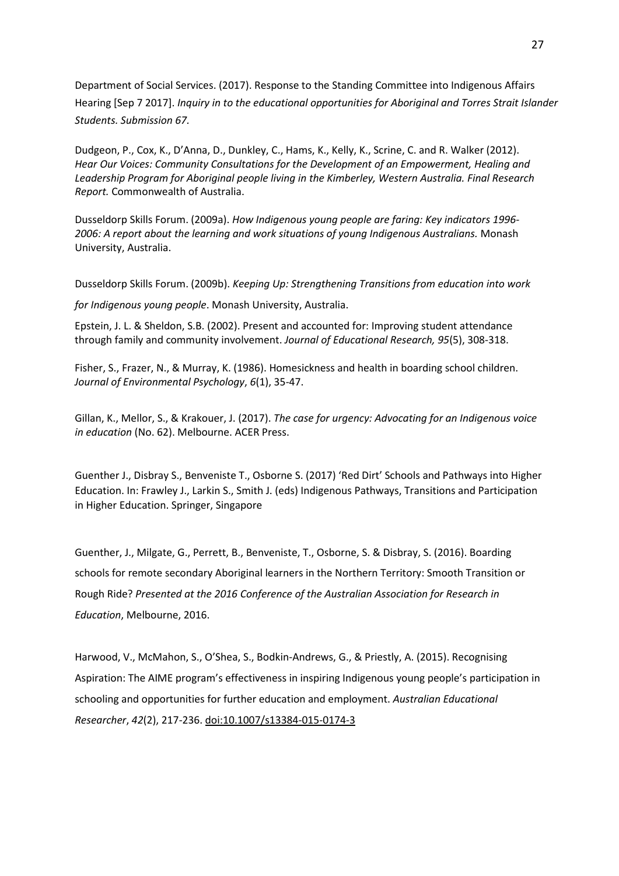Department of Social Services. (2017). Response to the Standing Committee into Indigenous Affairs Hearing [Sep 7 2017]. *Inquiry in to the educational opportunities for Aboriginal and Torres Strait Islander Students. Submission 67.*

Dudgeon, P., Cox, K., D'Anna, D., Dunkley, C., Hams, K., Kelly, K., Scrine, C. and R. Walker (2012). *Hear Our Voices: Community Consultations for the Development of an Empowerment, Healing and Leadership Program for Aboriginal people living in the Kimberley, Western Australia. Final Research Report.* Commonwealth of Australia.

Dusseldorp Skills Forum. (2009a). *How Indigenous young people are faring: Key indicators 1996- 2006: A report about the learning and work situations of young Indigenous Australians.* Monash University, Australia.

Dusseldorp Skills Forum. (2009b). *Keeping Up: Strengthening Transitions from education into work* 

*for Indigenous young people*. Monash University, Australia.

Epstein, J. L. & Sheldon, S.B. (2002). Present and accounted for: Improving student attendance through family and community involvement. *Journal of Educational Research, 95*(5), 308-318.

Fisher, S., Frazer, N., & Murray, K. (1986). Homesickness and health in boarding school children. *Journal of Environmental Psychology*, *6*(1), 35-47.

Gillan, K., Mellor, S., & Krakouer, J. (2017). *The case for urgency: Advocating for an Indigenous voice in education* (No. 62). Melbourne. ACER Press.

Guenther J., Disbray S., Benveniste T., Osborne S. (2017) 'Red Dirt' Schools and Pathways into Higher Education. In: Frawley J., Larkin S., Smith J. (eds) Indigenous Pathways, Transitions and Participation in Higher Education. Springer, Singapore

Guenther, J., Milgate, G., Perrett, B., Benveniste, T., Osborne, S. & Disbray, S. (2016). Boarding schools for remote secondary Aboriginal learners in the Northern Territory: Smooth Transition or Rough Ride? *Presented at the 2016 Conference of the Australian Association for Research in Education*, Melbourne, 2016.

Harwood, V., McMahon, S., O'Shea, S., Bodkin-Andrews, G., & Priestly, A. (2015). Recognising Aspiration: The AIME program's effectiveness in inspiring Indigenous young people's participation in schooling and opportunities for further education and employment. *Australian Educational Researcher*, *42*(2), 217-236. [doi:10.1007/s13384-015-0174-3](http://link.springer.com/article/10.1007/s13384-015-0174-3)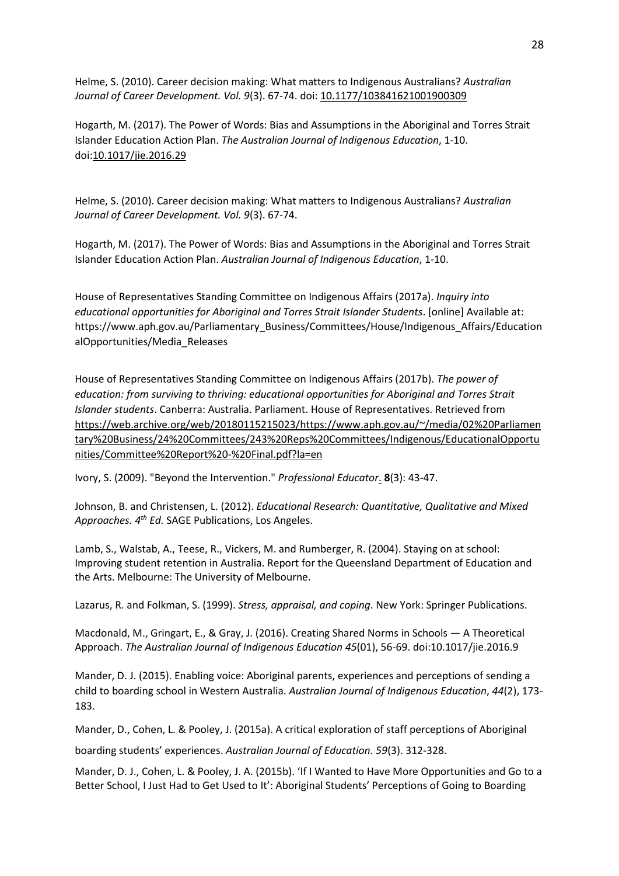Helme, S. (2010). Career decision making: What matters to Indigenous Australians? *Australian Journal of Career Development. Vol. 9*(3). 67-74. doi: [10.1177/103841621001900309](https://doi.org/10.1177/103841621001900309)

Hogarth, M. (2017). The Power of Words: Bias and Assumptions in the Aboriginal and Torres Strait Islander Education Action Plan. *The Australian Journal of Indigenous Education*, 1-10. doi[:10.1017/jie.2016.29](https://doi.org/10.1017/jie.2016.29)

Helme, S. (2010). Career decision making: What matters to Indigenous Australians? *Australian Journal of Career Development. Vol. 9*(3). 67-74.

Hogarth, M. (2017). The Power of Words: Bias and Assumptions in the Aboriginal and Torres Strait Islander Education Action Plan. *Australian Journal of Indigenous Education*, 1-10.

House of Representatives Standing Committee on Indigenous Affairs (2017a). *Inquiry into educational opportunities for Aboriginal and Torres Strait Islander Students*. [online] Available at: https://www.aph.gov.au/Parliamentary\_Business/Committees/House/Indigenous\_Affairs/Education alOpportunities/Media\_Releases

House of Representatives Standing Committee on Indigenous Affairs (2017b). *The power of education: from surviving to thriving: educational opportunities for Aboriginal and Torres Strait Islander students*. Canberra: Australia. Parliament. House of Representatives. Retrieved from [https://web.archive.org/web/20180115215023/https://www.aph.gov.au/~/media/02%20Parliamen](https://apac01.safelinks.protection.outlook.com/?url=https:%2F%2Fweb.archive.org%2Fweb%2F20180115215023%2Fhttps:%2Fwww.aph.gov.au%2F%7E%2Fmedia%2F02%2520Parliamentary%2520Business%2F24%2520Committees%2F243%2520Reps%2520Committees%2FIndigenous%2FEducationalOpportunities%2FCommittee%2520Report%2520-%2520Final.pdf%3Fla%3Den&data=02%7C01%7Cm.macdonald%40ecu.edu.au%7Ca702a4f89c1e44c7749508d56904e766%7C2fe26b0cab7e4cfe9f91d78b97e524ca%7C1%7C1%7C636530392138391305&sdata=BFzKKpw77uvITLrvodfcv9VedXp%2BKnPc81wIC2PpV58%3D&reserved=0) [tary%20Business/24%20Committees/243%20Reps%20Committees/Indigenous/EducationalOpportu](https://apac01.safelinks.protection.outlook.com/?url=https:%2F%2Fweb.archive.org%2Fweb%2F20180115215023%2Fhttps:%2Fwww.aph.gov.au%2F%7E%2Fmedia%2F02%2520Parliamentary%2520Business%2F24%2520Committees%2F243%2520Reps%2520Committees%2FIndigenous%2FEducationalOpportunities%2FCommittee%2520Report%2520-%2520Final.pdf%3Fla%3Den&data=02%7C01%7Cm.macdonald%40ecu.edu.au%7Ca702a4f89c1e44c7749508d56904e766%7C2fe26b0cab7e4cfe9f91d78b97e524ca%7C1%7C1%7C636530392138391305&sdata=BFzKKpw77uvITLrvodfcv9VedXp%2BKnPc81wIC2PpV58%3D&reserved=0) [nities/Committee%20Report%20-%20Final.pdf?la=en](https://apac01.safelinks.protection.outlook.com/?url=https:%2F%2Fweb.archive.org%2Fweb%2F20180115215023%2Fhttps:%2Fwww.aph.gov.au%2F%7E%2Fmedia%2F02%2520Parliamentary%2520Business%2F24%2520Committees%2F243%2520Reps%2520Committees%2FIndigenous%2FEducationalOpportunities%2FCommittee%2520Report%2520-%2520Final.pdf%3Fla%3Den&data=02%7C01%7Cm.macdonald%40ecu.edu.au%7Ca702a4f89c1e44c7749508d56904e766%7C2fe26b0cab7e4cfe9f91d78b97e524ca%7C1%7C1%7C636530392138391305&sdata=BFzKKpw77uvITLrvodfcv9VedXp%2BKnPc81wIC2PpV58%3D&reserved=0)

Ivory, S. (2009). "Beyond the Intervention." *Professional Educator*. **8**(3): 43-47.

Johnson, B. and Christensen, L. (2012). *Educational Research: Quantitative, Qualitative and Mixed Approaches. 4th Ed.* SAGE Publications, Los Angeles.

Lamb, S., Walstab, A., Teese, R., Vickers, M. and Rumberger, R. (2004). Staying on at school: Improving student retention in Australia. Report for the Queensland Department of Education and the Arts. Melbourne: The University of Melbourne.

Lazarus, R. and Folkman, S. (1999). *Stress, appraisal, and coping*. New York: Springer Publications.

Macdonald, M., Gringart, E., & Gray, J. (2016). Creating Shared Norms in Schools — A Theoretical Approach. *The Australian Journal of Indigenous Education 45*(01), 56-69. doi:10.1017/jie.2016.9

Mander, D. J. (2015). Enabling voice: Aboriginal parents, experiences and perceptions of sending a child to boarding school in Western Australia. *Australian Journal of Indigenous Education*, *44*(2), 173- 183.

Mander, D., Cohen, L. & Pooley, J. (2015a). A critical exploration of staff perceptions of Aboriginal

boarding students' experiences. *Australian Journal of Education. 59*(3). 312-328.

Mander, D. J., Cohen, L. & Pooley, J. A. (2015b). 'If I Wanted to Have More Opportunities and Go to a Better School, I Just Had to Get Used to It': Aboriginal Students' Perceptions of Going to Boarding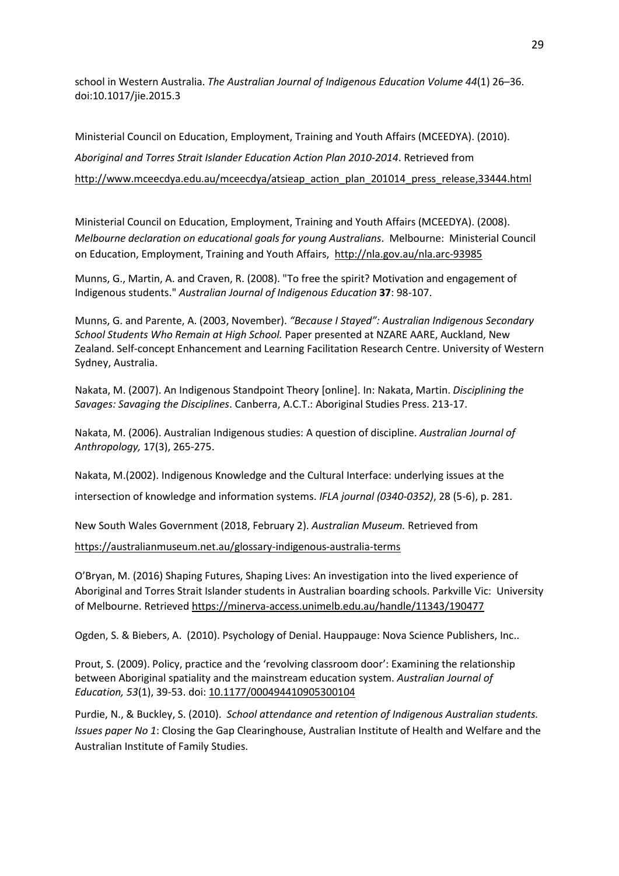school in Western Australia. *The Australian Journal of Indigenous Education Volume 44*(1) 26–36. doi:10.1017/jie.2015.3

Ministerial Council on Education, Employment, Training and Youth Affairs (MCEEDYA). (2010). *Aboriginal and Torres Strait Islander Education Action Plan 2010-2014*. Retrieved from [http://www.mceecdya.edu.au/mceecdya/atsieap\\_action\\_plan\\_201014\\_press\\_release,33444.html](http://www.mceecdya.edu.au/mceecdya/atsieap_action_plan_201014_press_release,33444.html)

Ministerial Council on Education, Employment, Training and Youth Affairs (MCEEDYA). (2008). *Melbourne declaration on educational goals for young Australians*. Melbourne: Ministerial Council on Education, Employment, Training and Youth Affairs, <http://nla.gov.au/nla.arc-93985>

Munns, G., Martin, A. and Craven, R. (2008). "To free the spirit? Motivation and engagement of Indigenous students." *Australian Journal of Indigenous Education* **37**: 98-107.

Munns, G. and Parente, A. (2003, November). *"Because I Stayed": Australian Indigenous Secondary School Students Who Remain at High School.* Paper presented at NZARE AARE, Auckland, New Zealand. Self-concept Enhancement and Learning Facilitation Research Centre. University of Western Sydney, Australia.

Nakata, M. (2007). An Indigenous Standpoint Theory [online]. In: Nakata, Martin. *Disciplining the Savages: Savaging the Disciplines*. Canberra, A.C.T.: Aboriginal Studies Press. 213-17.

Nakata, M. (2006). Australian Indigenous studies: A question of discipline. *Australian Journal of Anthropology,* 17(3), 265-275.

Nakata, M.(2002). Indigenous Knowledge and the Cultural Interface: underlying issues at the intersection of knowledge and information systems. *IFLA journal (0340-0352)*, 28 (5-6), p. 281.

New South Wales Government (2018, February 2). *Australian Museum.* Retrieved from <https://australianmuseum.net.au/glossary-indigenous-australia-terms>

O'Bryan, M. (2016) Shaping Futures, Shaping Lives: An investigation into the lived experience of Aboriginal and Torres Strait Islander students in Australian boarding schools. Parkville Vic: University of Melbourne. Retrieve[d https://minerva-access.unimelb.edu.au/handle/11343/190477](https://apac01.safelinks.protection.outlook.com/?url=https%3A%2F%2Fminerva-access.unimelb.edu.au%2Fhandle%2F11343%2F190477&data=02%7C01%7Cm.macdonald%40ecu.edu.au%7Ca702a4f89c1e44c7749508d56904e766%7C2fe26b0cab7e4cfe9f91d78b97e524ca%7C1%7C0%7C636530392138391305&sdata=22imffGqni7yrmEpq9d4XrTHMGmpx8zazpmLjTjUB0k%3D&reserved=0)

Ogden, S. & Biebers, A. (2010). Psychology of Denial. Hauppauge: Nova Science Publishers, Inc..

Prout, S. (2009). Policy, practice and the 'revolving classroom door': Examining the relationship between Aboriginal spatiality and the mainstream education system. *Australian Journal of Education, 53*(1), 39-53. doi[: 10.1177/000494410905300104](https://doi.org/10.1177/000494410905300104)

Purdie, N., & Buckley, S. (2010). *School attendance and retention of Indigenous Australian students. Issues paper No 1*: Closing the Gap Clearinghouse, Australian Institute of Health and Welfare and the Australian Institute of Family Studies.